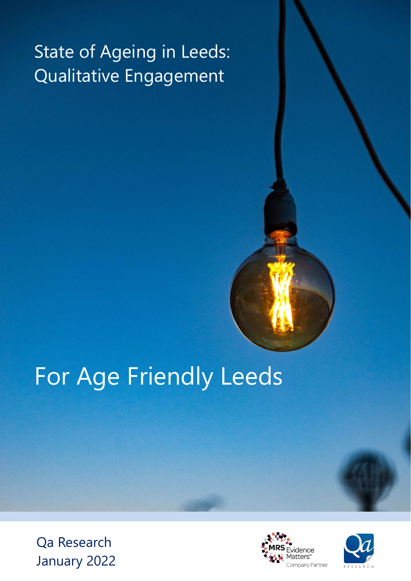# State of Ageing in Leeds: Qualitative Engagement

# For Age Friendly Leeds

Qa Research January 2022



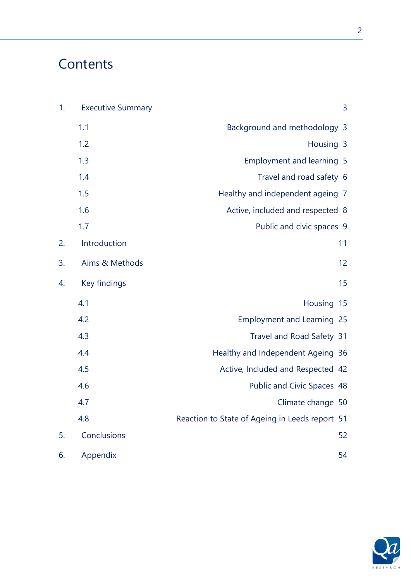# **Contents**

| 1. | <b>Executive Summary</b> | 3                                              |
|----|--------------------------|------------------------------------------------|
|    | 1.1                      | Background and methodology 3                   |
|    | 1.2                      | Housing 3                                      |
|    | 1.3                      | <b>Employment and learning 5</b>               |
|    | 1.4                      | Travel and road safety 6                       |
|    | 1.5                      | Healthy and independent ageing 7               |
|    | 1.6                      | Active, included and respected 8               |
|    | 1.7                      | Public and civic spaces 9                      |
| 2. | Introduction             | 11                                             |
| 3. | Aims & Methods           | 12                                             |
| 4. | Key findings             | 15                                             |
|    | 4.1                      | Housing 15                                     |
|    | 4.2                      | <b>Employment and Learning 25</b>              |
|    | 4.3                      | Travel and Road Safety 31                      |
|    | 4.4                      | Healthy and Independent Ageing 36              |
|    | 4.5                      | Active, Included and Respected 42              |
|    | 4.6                      | Public and Civic Spaces 48                     |
|    | 4.7                      | Climate change 50                              |
|    | 4.8                      | Reaction to State of Ageing in Leeds report 51 |
| 5. | Conclusions              | 52                                             |
| 6. | Appendix                 | 54                                             |

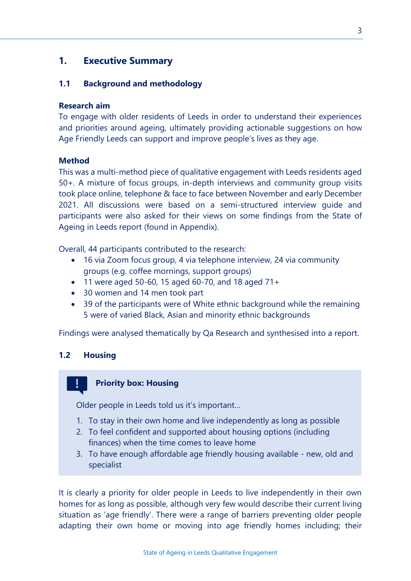#### **1. Executive Summary**

#### **1.1 Background and methodology**

#### **Research aim**

To engage with older residents of Leeds in order to understand their experiences and priorities around ageing, ultimately providing actionable suggestions on how Age Friendly Leeds can support and improve people's lives as they age.

#### **Method**

This was a multi-method piece of qualitative engagement with Leeds residents aged 50+. A mixture of focus groups, in-depth interviews and community group visits took place online, telephone & face to face between November and early December 2021. All discussions were based on a semi-structured interview guide and participants were also asked for their views on some findings from the State of Ageing in Leeds report (found in Appendix).

Overall, 44 participants contributed to the research:

- 16 via Zoom focus group, 4 via telephone interview, 24 via community groups (e.g. coffee mornings, support groups)
- 11 were aged 50-60, 15 aged 60-70, and 18 aged 71+
- 30 women and 14 men took part
- 39 of the participants were of White ethnic background while the remaining 5 were of varied Black, Asian and minority ethnic backgrounds

Findings were analysed thematically by Qa Research and synthesised into a report.

#### **1.2 Housing**

#### **Priority box: Housing**

Older people in Leeds told us it's important…

- 1. To stay in their own home and live independently as long as possible
- 2. To feel confident and supported about housing options (including finances) when the time comes to leave home
- 3. To have enough affordable age friendly housing available new, old and specialist

It is clearly a priority for older people in Leeds to live independently in their own homes for as long as possible, although very few would describe their current living situation as 'age friendly'. There were a range of barriers preventing older people adapting their own home or moving into age friendly homes including; their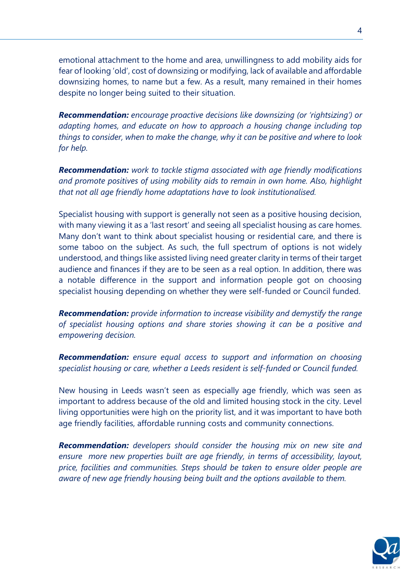emotional attachment to the home and area, unwillingness to add mobility aids for fear of looking 'old', cost of downsizing or modifying, lack of available and affordable downsizing homes, to name but a few. As a result, many remained in their homes despite no longer being suited to their situation.

*Recommendation: encourage proactive decisions like downsizing (or 'rightsizing') or adapting homes, and educate on how to approach a housing change including top things to consider, when to make the change, why it can be positive and where to look for help.*

*Recommendation: work to tackle stigma associated with age friendly modifications and promote positives of using mobility aids to remain in own home. Also, highlight that not all age friendly home adaptations have to look institutionalised.* 

Specialist housing with support is generally not seen as a positive housing decision, with many viewing it as a 'last resort' and seeing all specialist housing as care homes. Many don't want to think about specialist housing or residential care, and there is some taboo on the subject. As such, the full spectrum of options is not widely understood, and things like assisted living need greater clarity in terms of their target audience and finances if they are to be seen as a real option. In addition, there was a notable difference in the support and information people got on choosing specialist housing depending on whether they were self-funded or Council funded.

*Recommendation: provide information to increase visibility and demystify the range of specialist housing options and share stories showing it can be a positive and empowering decision.* 

*Recommendation: ensure equal access to support and information on choosing specialist housing or care, whether a Leeds resident is self-funded or Council funded.*

New housing in Leeds wasn't seen as especially age friendly, which was seen as important to address because of the old and limited housing stock in the city. Level living opportunities were high on the priority list, and it was important to have both age friendly facilities, affordable running costs and community connections.

*Recommendation: developers should consider the housing mix on new site and ensure more new properties built are age friendly, in terms of accessibility, layout, price, facilities and communities. Steps should be taken to ensure older people are aware of new age friendly housing being built and the options available to them.* 

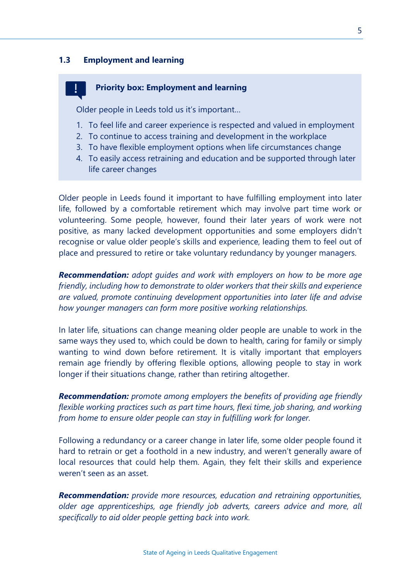#### **1.3 Employment and learning**

#### **Priority box: Employment and learning**

Older people in Leeds told us it's important…

- 1. To feel life and career experience is respected and valued in employment
- 2. To continue to access training and development in the workplace
- 3. To have flexible employment options when life circumstances change
- 4. To easily access retraining and education and be supported through later life career changes

Older people in Leeds found it important to have fulfilling employment into later life, followed by a comfortable retirement which may involve part time work or volunteering. Some people, however, found their later years of work were not positive, as many lacked development opportunities and some employers didn't recognise or value older people's skills and experience, leading them to feel out of place and pressured to retire or take voluntary redundancy by younger managers.

*Recommendation: adopt guides and work with employers on how to be more age friendly, including how to demonstrate to older workers that their skills and experience are valued, promote continuing development opportunities into later life and advise how younger managers can form more positive working relationships.*

In later life, situations can change meaning older people are unable to work in the same ways they used to, which could be down to health, caring for family or simply wanting to wind down before retirement. It is vitally important that employers remain age friendly by offering flexible options, allowing people to stay in work longer if their situations change, rather than retiring altogether.

*Recommendation: promote among employers the benefits of providing age friendly flexible working practices such as part time hours, flexi time, job sharing, and working from home to ensure older people can stay in fulfilling work for longer.*

Following a redundancy or a career change in later life, some older people found it hard to retrain or get a foothold in a new industry, and weren't generally aware of local resources that could help them. Again, they felt their skills and experience weren't seen as an asset.

*Recommendation: provide more resources, education and retraining opportunities, older age apprenticeships, age friendly job adverts, careers advice and more, all specifically to aid older people getting back into work.*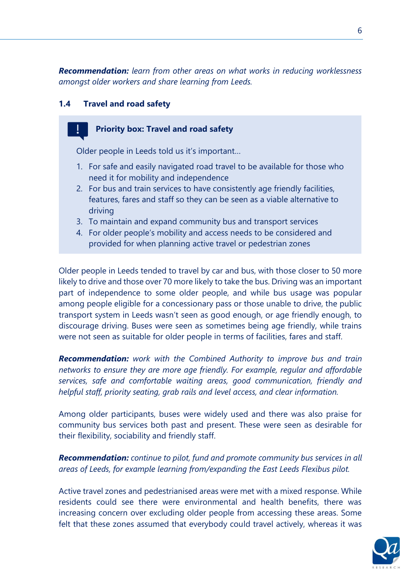*Recommendation: learn from other areas on what works in reducing worklessness amongst older workers and share learning from Leeds.*

#### **1.4 Travel and road safety**

#### **Priority box: Travel and road safety**

Older people in Leeds told us it's important…

- 1. For safe and easily navigated road travel to be available for those who need it for mobility and independence
- 2. For bus and train services to have consistently age friendly facilities, features, fares and staff so they can be seen as a viable alternative to driving
- 3. To maintain and expand community bus and transport services
- 4. For older people's mobility and access needs to be considered and provided for when planning active travel or pedestrian zones

Older people in Leeds tended to travel by car and bus, with those closer to 50 more likely to drive and those over 70 more likely to take the bus. Driving was an important part of independence to some older people, and while bus usage was popular among people eligible for a concessionary pass or those unable to drive, the public transport system in Leeds wasn't seen as good enough, or age friendly enough, to discourage driving. Buses were seen as sometimes being age friendly, while trains were not seen as suitable for older people in terms of facilities, fares and staff.

*Recommendation: work with the Combined Authority to improve bus and train networks to ensure they are more age friendly. For example, regular and affordable services, safe and comfortable waiting areas, good communication, friendly and helpful staff, priority seating, grab rails and level access, and clear information.*

Among older participants, buses were widely used and there was also praise for community bus services both past and present. These were seen as desirable for their flexibility, sociability and friendly staff.

*Recommendation: continue to pilot, fund and promote community bus services in all areas of Leeds, for example learning from/expanding the East Leeds Flexibus pilot.* 

Active travel zones and pedestrianised areas were met with a mixed response. While residents could see there were environmental and health benefits, there was increasing concern over excluding older people from accessing these areas. Some felt that these zones assumed that everybody could travel actively, whereas it was

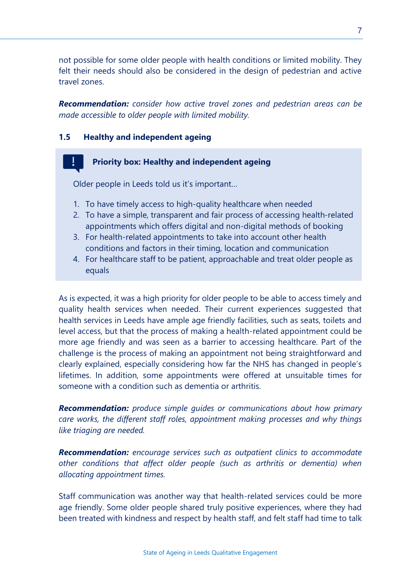not possible for some older people with health conditions or limited mobility. They felt their needs should also be considered in the design of pedestrian and active travel zones.

*Recommendation: consider how active travel zones and pedestrian areas can be made accessible to older people with limited mobility.*

#### **1.5 Healthy and independent ageing**

#### **Priority box: Healthy and independent ageing**

Older people in Leeds told us it's important…

- 1. To have timely access to high-quality healthcare when needed
- 2. To have a simple, transparent and fair process of accessing health-related appointments which offers digital and non-digital methods of booking
- 3. For health-related appointments to take into account other health conditions and factors in their timing, location and communication
- 4. For healthcare staff to be patient, approachable and treat older people as equals

As is expected, it was a high priority for older people to be able to access timely and quality health services when needed. Their current experiences suggested that health services in Leeds have ample age friendly facilities, such as seats, toilets and level access, but that the process of making a health-related appointment could be more age friendly and was seen as a barrier to accessing healthcare. Part of the challenge is the process of making an appointment not being straightforward and clearly explained, especially considering how far the NHS has changed in people's lifetimes. In addition, some appointments were offered at unsuitable times for someone with a condition such as dementia or arthritis.

*Recommendation: produce simple guides or communications about how primary care works, the different staff roles, appointment making processes and why things like triaging are needed.*

*Recommendation: encourage services such as outpatient clinics to accommodate other conditions that affect older people (such as arthritis or dementia) when allocating appointment times.*

Staff communication was another way that health-related services could be more age friendly. Some older people shared truly positive experiences, where they had been treated with kindness and respect by health staff, and felt staff had time to talk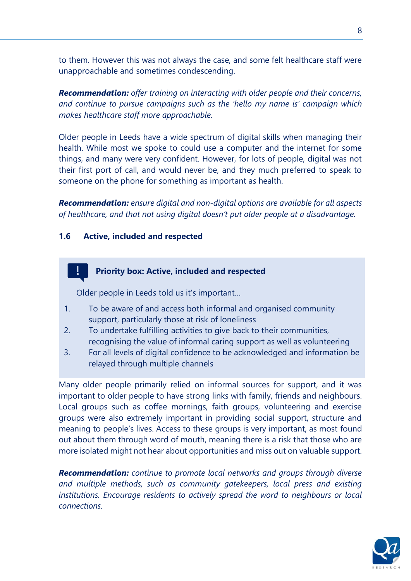to them. However this was not always the case, and some felt healthcare staff were unapproachable and sometimes condescending.

*Recommendation: offer training on interacting with older people and their concerns, and continue to pursue campaigns such as the 'hello my name is' campaign which makes healthcare staff more approachable.* 

Older people in Leeds have a wide spectrum of digital skills when managing their health. While most we spoke to could use a computer and the internet for some things, and many were very confident. However, for lots of people, digital was not their first port of call, and would never be, and they much preferred to speak to someone on the phone for something as important as health.

*Recommendation: ensure digital and non-digital options are available for all aspects of healthcare, and that not using digital doesn't put older people at a disadvantage.*

#### **1.6 Active, included and respected**

#### **Priority box: Active, included and respected**

Older people in Leeds told us it's important…

- 1. To be aware of and access both informal and organised community support, particularly those at risk of loneliness
- 2. To undertake fulfilling activities to give back to their communities, recognising the value of informal caring support as well as volunteering
- 3. For all levels of digital confidence to be acknowledged and information be relayed through multiple channels

Many older people primarily relied on informal sources for support, and it was important to older people to have strong links with family, friends and neighbours. Local groups such as coffee mornings, faith groups, volunteering and exercise groups were also extremely important in providing social support, structure and meaning to people's lives. Access to these groups is very important, as most found out about them through word of mouth, meaning there is a risk that those who are more isolated might not hear about opportunities and miss out on valuable support.

*Recommendation: continue to promote local networks and groups through diverse and multiple methods, such as community gatekeepers, local press and existing institutions. Encourage residents to actively spread the word to neighbours or local connections.*

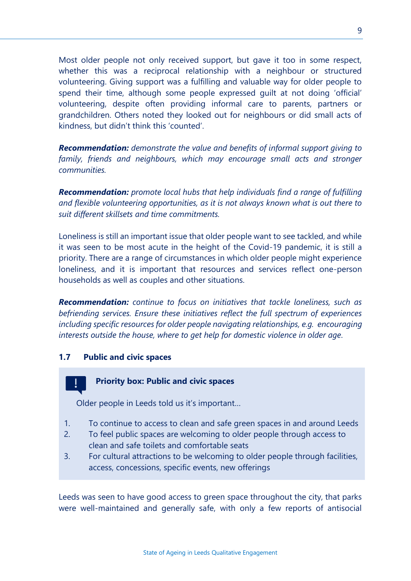Most older people not only received support, but gave it too in some respect, whether this was a reciprocal relationship with a neighbour or structured volunteering. Giving support was a fulfilling and valuable way for older people to spend their time, although some people expressed guilt at not doing 'official' volunteering, despite often providing informal care to parents, partners or grandchildren. Others noted they looked out for neighbours or did small acts of kindness, but didn't think this 'counted'.

*Recommendation: demonstrate the value and benefits of informal support giving to family, friends and neighbours, which may encourage small acts and stronger communities.*

*Recommendation: promote local hubs that help individuals find a range of fulfilling and flexible volunteering opportunities, as it is not always known what is out there to suit different skillsets and time commitments.* 

Loneliness is still an important issue that older people want to see tackled, and while it was seen to be most acute in the height of the Covid-19 pandemic, it is still a priority. There are a range of circumstances in which older people might experience loneliness, and it is important that resources and services reflect one-person households as well as couples and other situations.

*Recommendation: continue to focus on initiatives that tackle loneliness, such as befriending services. Ensure these initiatives reflect the full spectrum of experiences including specific resources for older people navigating relationships, e.g. encouraging interests outside the house, where to get help for domestic violence in older age.* 

#### **1.7 Public and civic spaces**

#### **Priority box: Public and civic spaces**

Older people in Leeds told us it's important…

- 1. To continue to access to clean and safe green spaces in and around Leeds
- 2. To feel public spaces are welcoming to older people through access to clean and safe toilets and comfortable seats
- 3. For cultural attractions to be welcoming to older people through facilities, access, concessions, specific events, new offerings

Leeds was seen to have good access to green space throughout the city, that parks were well-maintained and generally safe, with only a few reports of antisocial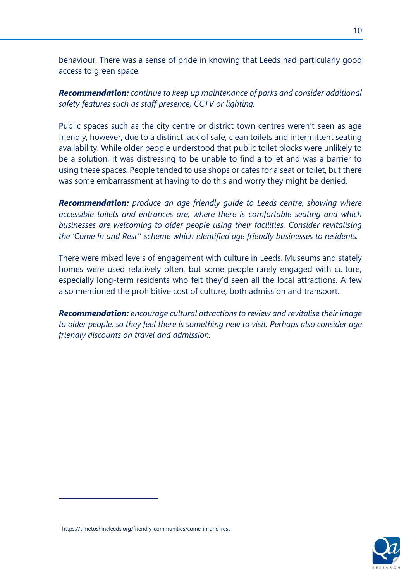behaviour. There was a sense of pride in knowing that Leeds had particularly good access to green space.

*Recommendation: continue to keep up maintenance of parks and consider additional safety features such as staff presence, CCTV or lighting.*

Public spaces such as the city centre or district town centres weren't seen as age friendly, however, due to a distinct lack of safe, clean toilets and intermittent seating availability. While older people understood that public toilet blocks were unlikely to be a solution, it was distressing to be unable to find a toilet and was a barrier to using these spaces. People tended to use shops or cafes for a seat or toilet, but there was some embarrassment at having to do this and worry they might be denied.

*Recommendation: produce an age friendly guide to Leeds centre, showing where accessible toilets and entrances are, where there is comfortable seating and which businesses are welcoming to older people using their facilities. Consider revitalising the 'Come In and Rest'<sup>1</sup> scheme which identified age friendly businesses to residents.* 

There were mixed levels of engagement with culture in Leeds. Museums and stately homes were used relatively often, but some people rarely engaged with culture, especially long-term residents who felt they'd seen all the local attractions. A few also mentioned the prohibitive cost of culture, both admission and transport.

*Recommendation: encourage cultural attractions to review and revitalise their image to older people, so they feel there is something new to visit. Perhaps also consider age friendly discounts on travel and admission.* 



<sup>1</sup> https://timetoshineleeds.org/friendly-communities/come-in-and-rest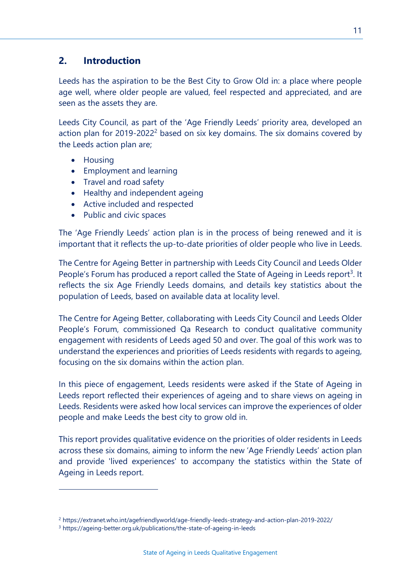#### **2. Introduction**

Leeds has the aspiration to be the Best City to Grow Old in: a place where people age well, where older people are valued, feel respected and appreciated, and are seen as the assets they are.

Leeds City Council, as part of the 'Age Friendly Leeds' priority area, developed an action plan for 2019-2022<sup>2</sup> based on six key domains. The six domains covered by the Leeds action plan are;

- Housing
- Employment and learning
- Travel and road safety
- Healthy and independent ageing
- Active included and respected
- Public and civic spaces

The 'Age Friendly Leeds' action plan is in the process of being renewed and it is important that it reflects the up-to-date priorities of older people who live in Leeds.

The Centre for Ageing Better in partnership with Leeds City Council and Leeds Older People's Forum has produced a report called the State of Ageing in Leeds report<sup>3</sup>. It reflects the six Age Friendly Leeds domains, and details key statistics about the population of Leeds, based on available data at locality level.

The Centre for Ageing Better, collaborating with Leeds City Council and Leeds Older People's Forum, commissioned Qa Research to conduct qualitative community engagement with residents of Leeds aged 50 and over. The goal of this work was to understand the experiences and priorities of Leeds residents with regards to ageing, focusing on the six domains within the action plan.

In this piece of engagement, Leeds residents were asked if the State of Ageing in Leeds report reflected their experiences of ageing and to share views on ageing in Leeds. Residents were asked how local services can improve the experiences of older people and make Leeds the best city to grow old in.

This report provides qualitative evidence on the priorities of older residents in Leeds across these six domains, aiming to inform the new 'Age Friendly Leeds' action plan and provide 'lived experiences' to accompany the statistics within the State of Ageing in Leeds report.

<sup>2</sup> https://extranet.who.int/agefriendlyworld/age-friendly-leeds-strategy-and-action-plan-2019-2022/

<sup>3</sup> https://ageing-better.org.uk/publications/the-state-of-ageing-in-leeds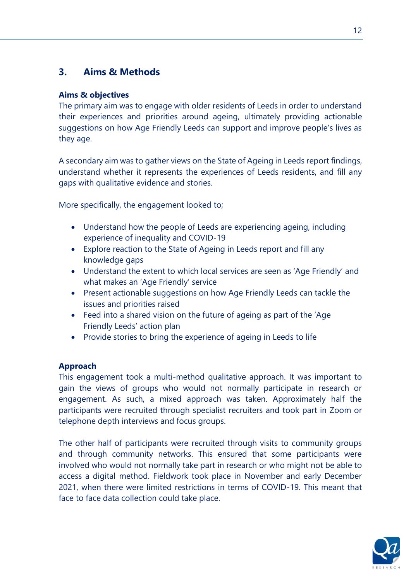### **3. Aims & Methods**

#### **Aims & objectives**

The primary aim was to engage with older residents of Leeds in order to understand their experiences and priorities around ageing, ultimately providing actionable suggestions on how Age Friendly Leeds can support and improve people's lives as they age.

A secondary aim was to gather views on the State of Ageing in Leeds report findings, understand whether it represents the experiences of Leeds residents, and fill any gaps with qualitative evidence and stories.

More specifically, the engagement looked to;

- Understand how the people of Leeds are experiencing ageing, including experience of inequality and COVID-19
- Explore reaction to the State of Ageing in Leeds report and fill any knowledge gaps
- Understand the extent to which local services are seen as 'Age Friendly' and what makes an 'Age Friendly' service
- Present actionable suggestions on how Age Friendly Leeds can tackle the issues and priorities raised
- Feed into a shared vision on the future of ageing as part of the 'Age Friendly Leeds' action plan
- Provide stories to bring the experience of ageing in Leeds to life

#### **Approach**

This engagement took a multi-method qualitative approach. It was important to gain the views of groups who would not normally participate in research or engagement. As such, a mixed approach was taken. Approximately half the participants were recruited through specialist recruiters and took part in Zoom or telephone depth interviews and focus groups.

The other half of participants were recruited through visits to community groups and through community networks. This ensured that some participants were involved who would not normally take part in research or who might not be able to access a digital method. Fieldwork took place in November and early December 2021, when there were limited restrictions in terms of COVID-19. This meant that face to face data collection could take place.

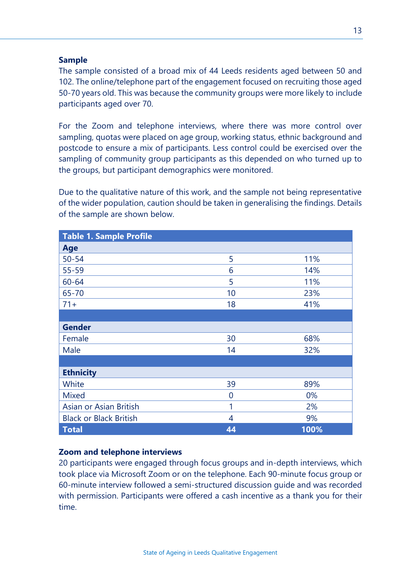#### **Sample**

The sample consisted of a broad mix of 44 Leeds residents aged between 50 and 102. The online/telephone part of the engagement focused on recruiting those aged 50-70 years old. This was because the community groups were more likely to include participants aged over 70.

For the Zoom and telephone interviews, where there was more control over sampling, quotas were placed on age group, working status, ethnic background and postcode to ensure a mix of participants. Less control could be exercised over the sampling of community group participants as this depended on who turned up to the groups, but participant demographics were monitored.

Due to the qualitative nature of this work, and the sample not being representative of the wider population, caution should be taken in generalising the findings. Details of the sample are shown below.

| <b>Table 1. Sample Profile</b> |    |      |  |  |
|--------------------------------|----|------|--|--|
| Age                            |    |      |  |  |
| $50 - 54$                      | 5  | 11%  |  |  |
| $55 - 59$                      | 6  | 14%  |  |  |
| $60 - 64$                      | 5  | 11%  |  |  |
| 65-70                          | 10 | 23%  |  |  |
| $71+$                          | 18 | 41%  |  |  |
|                                |    |      |  |  |
| <b>Gender</b>                  |    |      |  |  |
| Female                         | 30 | 68%  |  |  |
| Male                           | 14 | 32%  |  |  |
|                                |    |      |  |  |
| <b>Ethnicity</b>               |    |      |  |  |
| White                          | 39 | 89%  |  |  |
| <b>Mixed</b>                   | 0  | 0%   |  |  |
| Asian or Asian British         | 1  | 2%   |  |  |
| <b>Black or Black British</b>  | 4  | 9%   |  |  |
| <b>Total</b>                   | 44 | 100% |  |  |

#### **Zoom and telephone interviews**

20 participants were engaged through focus groups and in-depth interviews, which took place via Microsoft Zoom or on the telephone. Each 90-minute focus group or 60-minute interview followed a semi-structured discussion guide and was recorded with permission. Participants were offered a cash incentive as a thank you for their time.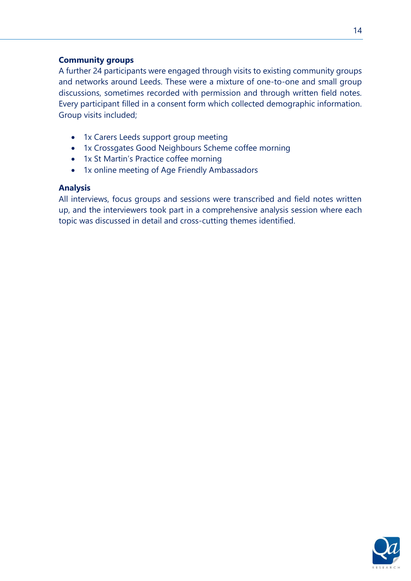#### **Community groups**

A further 24 participants were engaged through visits to existing community groups and networks around Leeds. These were a mixture of one-to-one and small group discussions, sometimes recorded with permission and through written field notes. Every participant filled in a consent form which collected demographic information. Group visits included;

- 1x Carers Leeds support group meeting
- 1x Crossgates Good Neighbours Scheme coffee morning
- 1x St Martin's Practice coffee morning
- 1x online meeting of Age Friendly Ambassadors

#### **Analysis**

All interviews, focus groups and sessions were transcribed and field notes written up, and the interviewers took part in a comprehensive analysis session where each topic was discussed in detail and cross-cutting themes identified.

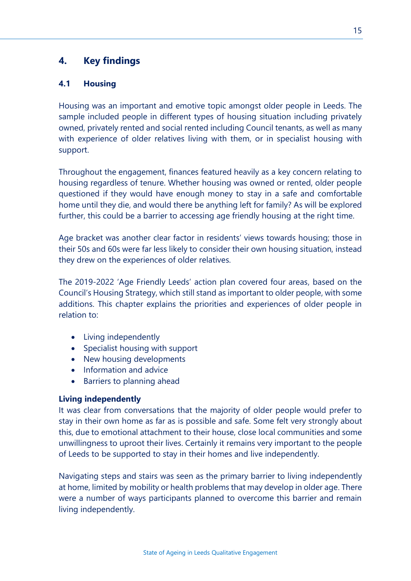#### **4. Key findings**

#### **4.1 Housing**

Housing was an important and emotive topic amongst older people in Leeds. The sample included people in different types of housing situation including privately owned, privately rented and social rented including Council tenants, as well as many with experience of older relatives living with them, or in specialist housing with support.

Throughout the engagement, finances featured heavily as a key concern relating to housing regardless of tenure. Whether housing was owned or rented, older people questioned if they would have enough money to stay in a safe and comfortable home until they die, and would there be anything left for family? As will be explored further, this could be a barrier to accessing age friendly housing at the right time.

Age bracket was another clear factor in residents' views towards housing; those in their 50s and 60s were far less likely to consider their own housing situation, instead they drew on the experiences of older relatives.

The 2019-2022 'Age Friendly Leeds' action plan covered four areas, based on the Council's Housing Strategy, which still stand as important to older people, with some additions. This chapter explains the priorities and experiences of older people in relation to:

- Living independently
- Specialist housing with support
- New housing developments
- Information and advice
- Barriers to planning ahead

#### **Living independently**

It was clear from conversations that the majority of older people would prefer to stay in their own home as far as is possible and safe. Some felt very strongly about this, due to emotional attachment to their house, close local communities and some unwillingness to uproot their lives. Certainly it remains very important to the people of Leeds to be supported to stay in their homes and live independently.

Navigating steps and stairs was seen as the primary barrier to living independently at home, limited by mobility or health problems that may develop in older age. There were a number of ways participants planned to overcome this barrier and remain living independently.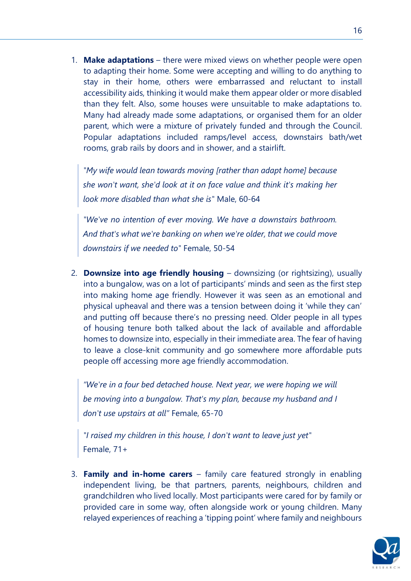1. **Make adaptations** – there were mixed views on whether people were open to adapting their home. Some were accepting and willing to do anything to stay in their home, others were embarrassed and reluctant to install accessibility aids, thinking it would make them appear older or more disabled than they felt. Also, some houses were unsuitable to make adaptations to. Many had already made some adaptations, or organised them for an older parent, which were a mixture of privately funded and through the Council. Popular adaptations included ramps/level access, downstairs bath/wet rooms, grab rails by doors and in shower, and a stairlift.

*"My wife would lean towards moving [rather than adapt home] because she won't want, she'd look at it on face value and think it's making her look more disabled than what she is"* Male, 60-64

*"We've no intention of ever moving. We have a downstairs bathroom. And that's what we're banking on when we're older, that we could move downstairs if we needed to"* Female, 50-54

2. **Downsize into age friendly housing** – downsizing (or rightsizing), usually into a bungalow, was on a lot of participants' minds and seen as the first step into making home age friendly. However it was seen as an emotional and physical upheaval and there was a tension between doing it 'while they can' and putting off because there's no pressing need. Older people in all types of housing tenure both talked about the lack of available and affordable homes to downsize into, especially in their immediate area. The fear of having to leave a close-knit community and go somewhere more affordable puts people off accessing more age friendly accommodation.

*"We're in a four bed detached house. Next year, we were hoping we will be moving into a bungalow. That's my plan, because my husband and I don't use upstairs at all"* Female, 65-70

*"I raised my children in this house, I don't want to leave just yet"*  Female, 71+

3. **Family and in-home carers** – family care featured strongly in enabling independent living, be that partners, parents, neighbours, children and grandchildren who lived locally. Most participants were cared for by family or provided care in some way, often alongside work or young children. Many relayed experiences of reaching a 'tipping point' where family and neighbours

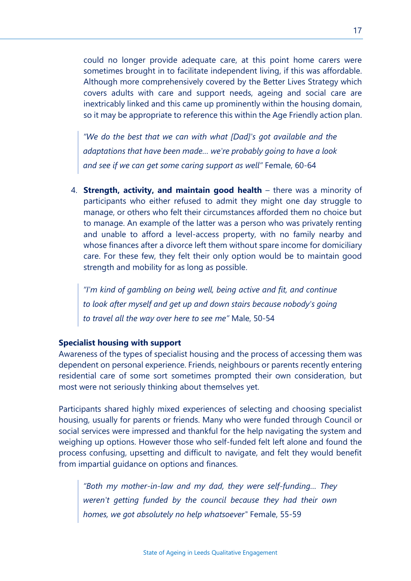could no longer provide adequate care, at this point home carers were sometimes brought in to facilitate independent living, if this was affordable. Although more comprehensively covered by the Better Lives Strategy which covers adults with care and support needs, ageing and social care are inextricably linked and this came up prominently within the housing domain, so it may be appropriate to reference this within the Age Friendly action plan.

*"We do the best that we can with what [Dad]'s got available and the adaptations that have been made… we're probably going to have a look and see if we can get some caring support as well"* Female, 60-64

4. **Strength, activity, and maintain good health** – there was a minority of participants who either refused to admit they might one day struggle to manage, or others who felt their circumstances afforded them no choice but to manage. An example of the latter was a person who was privately renting and unable to afford a level-access property, with no family nearby and whose finances after a divorce left them without spare income for domiciliary care. For these few, they felt their only option would be to maintain good strength and mobility for as long as possible.

*"I'm kind of gambling on being well, being active and fit, and continue to look after myself and get up and down stairs because nobody's going to travel all the way over here to see me"* Male, 50-54

#### **Specialist housing with support**

Awareness of the types of specialist housing and the process of accessing them was dependent on personal experience. Friends, neighbours or parents recently entering residential care of some sort sometimes prompted their own consideration, but most were not seriously thinking about themselves yet.

Participants shared highly mixed experiences of selecting and choosing specialist housing, usually for parents or friends. Many who were funded through Council or social services were impressed and thankful for the help navigating the system and weighing up options. However those who self-funded felt left alone and found the process confusing, upsetting and difficult to navigate, and felt they would benefit from impartial guidance on options and finances.

*"Both my mother-in-law and my dad, they were self-funding… They weren't getting funded by the council because they had their own homes, we got absolutely no help whatsoever"* Female, 55-59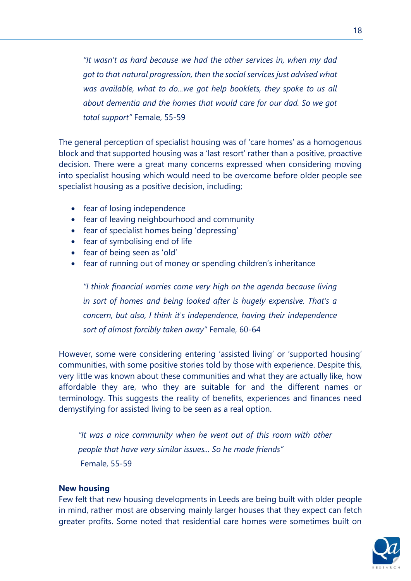*"It wasn't as hard because we had the other services in, when my dad got to that natural progression, then the social services just advised what was available, what to do...we got help booklets, they spoke to us all about dementia and the homes that would care for our dad. So we got total support"* Female, 55-59

The general perception of specialist housing was of 'care homes' as a homogenous block and that supported housing was a 'last resort' rather than a positive, proactive decision. There were a great many concerns expressed when considering moving into specialist housing which would need to be overcome before older people see specialist housing as a positive decision, including;

- fear of losing independence
- fear of leaving neighbourhood and community
- fear of specialist homes being 'depressing'
- fear of symbolising end of life
- fear of being seen as 'old'
- fear of running out of money or spending children's inheritance

*"I think financial worries come very high on the agenda because living in sort of homes and being looked after is hugely expensive. That's a concern, but also, I think it's independence, having their independence sort of almost forcibly taken away"* Female, 60-64

However, some were considering entering 'assisted living' or 'supported housing' communities, with some positive stories told by those with experience. Despite this, very little was known about these communities and what they are actually like, how affordable they are, who they are suitable for and the different names or terminology. This suggests the reality of benefits, experiences and finances need demystifying for assisted living to be seen as a real option.

*"It was a nice community when he went out of this room with other people that have very similar issues... So he made friends"* Female, 55-59

#### **New housing**

Few felt that new housing developments in Leeds are being built with older people in mind, rather most are observing mainly larger houses that they expect can fetch greater profits. Some noted that residential care homes were sometimes built on

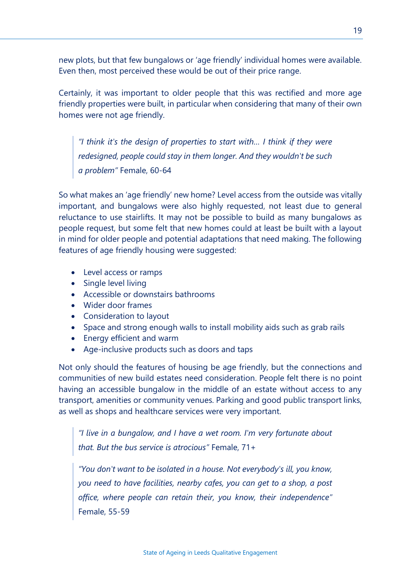new plots, but that few bungalows or 'age friendly' individual homes were available. Even then, most perceived these would be out of their price range.

Certainly, it was important to older people that this was rectified and more age friendly properties were built, in particular when considering that many of their own homes were not age friendly.

*"I think it's the design of properties to start with… I think if they were redesigned, people could stay in them longer. And they wouldn't be such a problem"* Female, 60-64

So what makes an 'age friendly' new home? Level access from the outside was vitally important, and bungalows were also highly requested, not least due to general reluctance to use stairlifts. It may not be possible to build as many bungalows as people request, but some felt that new homes could at least be built with a layout in mind for older people and potential adaptations that need making. The following features of age friendly housing were suggested:

- Level access or ramps
- Single level living
- Accessible or downstairs bathrooms
- Wider door frames
- Consideration to layout
- Space and strong enough walls to install mobility aids such as grab rails
- Energy efficient and warm
- Age-inclusive products such as doors and taps

Not only should the features of housing be age friendly, but the connections and communities of new build estates need consideration. People felt there is no point having an accessible bungalow in the middle of an estate without access to any transport, amenities or community venues. Parking and good public transport links, as well as shops and healthcare services were very important.

*"I live in a bungalow, and I have a wet room. I'm very fortunate about that. But the bus service is atrocious"* Female, 71+

*"You don't want to be isolated in a house. Not everybody's ill, you know, you need to have facilities, nearby cafes, you can get to a shop, a post office, where people can retain their, you know, their independence"*  Female, 55-59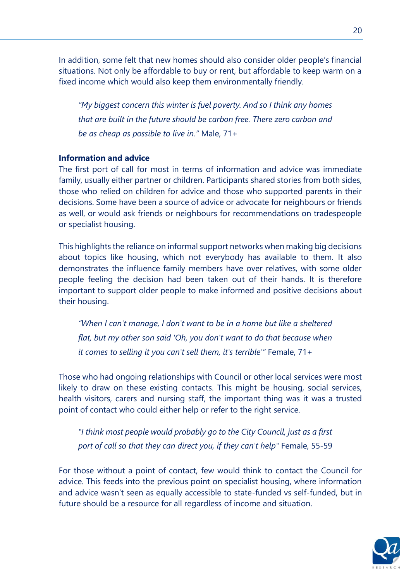In addition, some felt that new homes should also consider older people's financial situations. Not only be affordable to buy or rent, but affordable to keep warm on a fixed income which would also keep them environmentally friendly.

*"My biggest concern this winter is fuel poverty. And so I think any homes that are built in the future should be carbon free. There zero carbon and be as cheap as possible to live in."* Male, 71+

#### **Information and advice**

The first port of call for most in terms of information and advice was immediate family, usually either partner or children. Participants shared stories from both sides, those who relied on children for advice and those who supported parents in their decisions. Some have been a source of advice or advocate for neighbours or friends as well, or would ask friends or neighbours for recommendations on tradespeople or specialist housing.

This highlights the reliance on informal support networks when making big decisions about topics like housing, which not everybody has available to them. It also demonstrates the influence family members have over relatives, with some older people feeling the decision had been taken out of their hands. It is therefore important to support older people to make informed and positive decisions about their housing.

*"When I can't manage, I don't want to be in a home but like a sheltered flat, but my other son said 'Oh, you don't want to do that because when it comes to selling it you can't sell them, it's terrible'"* Female, 71+

Those who had ongoing relationships with Council or other local services were most likely to draw on these existing contacts. This might be housing, social services, health visitors, carers and nursing staff, the important thing was it was a trusted point of contact who could either help or refer to the right service.

*"I think most people would probably go to the City Council, just as a first port of call so that they can direct you, if they can't help"* Female, 55-59

For those without a point of contact, few would think to contact the Council for advice. This feeds into the previous point on specialist housing, where information and advice wasn't seen as equally accessible to state-funded vs self-funded, but in future should be a resource for all regardless of income and situation.

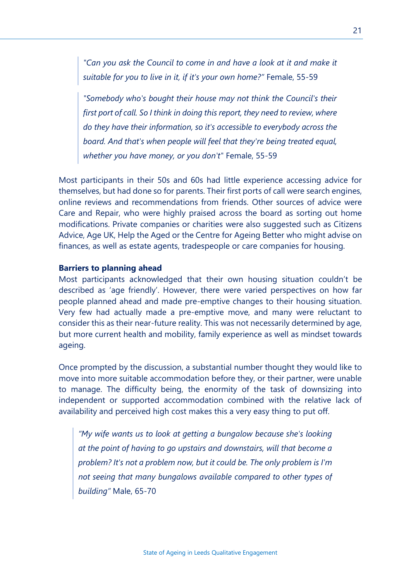*"Can you ask the Council to come in and have a look at it and make it suitable for you to live in it, if it's your own home?"* Female, 55-59

*"Somebody who's bought their house may not think the Council's their first port of call. So I think in doing this report, they need to review, where do they have their information, so it's accessible to everybody across the board. And that's when people will feel that they're being treated equal, whether you have money, or you don't"* Female, 55-59

Most participants in their 50s and 60s had little experience accessing advice for themselves, but had done so for parents. Their first ports of call were search engines, online reviews and recommendations from friends. Other sources of advice were Care and Repair, who were highly praised across the board as sorting out home modifications. Private companies or charities were also suggested such as Citizens Advice, Age UK, Help the Aged or the Centre for Ageing Better who might advise on finances, as well as estate agents, tradespeople or care companies for housing.

#### **Barriers to planning ahead**

Most participants acknowledged that their own housing situation couldn't be described as 'age friendly'. However, there were varied perspectives on how far people planned ahead and made pre-emptive changes to their housing situation. Very few had actually made a pre-emptive move, and many were reluctant to consider this as their near-future reality. This was not necessarily determined by age, but more current health and mobility, family experience as well as mindset towards ageing.

Once prompted by the discussion, a substantial number thought they would like to move into more suitable accommodation before they, or their partner, were unable to manage. The difficulty being, the enormity of the task of downsizing into independent or supported accommodation combined with the relative lack of availability and perceived high cost makes this a very easy thing to put off.

*"My wife wants us to look at getting a bungalow because she's looking at the point of having to go upstairs and downstairs, will that become a problem? It's not a problem now, but it could be. The only problem is I'm not seeing that many bungalows available compared to other types of building"* Male, 65-70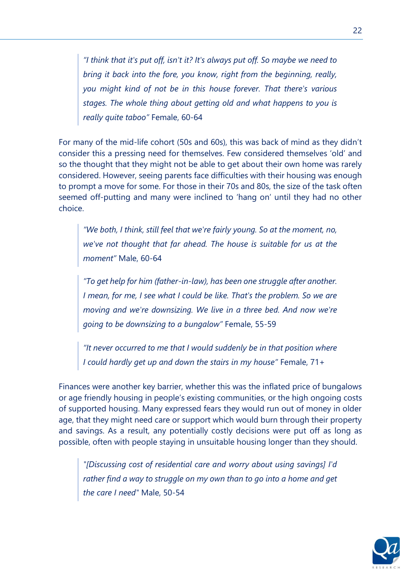*"I think that it's put off, isn't it? It's always put off. So maybe we need to bring it back into the fore, you know, right from the beginning, really, you might kind of not be in this house forever. That there's various stages. The whole thing about getting old and what happens to you is really quite taboo"* Female, 60-64

For many of the mid-life cohort (50s and 60s), this was back of mind as they didn't consider this a pressing need for themselves. Few considered themselves 'old' and so the thought that they might not be able to get about their own home was rarely considered. However, seeing parents face difficulties with their housing was enough to prompt a move for some. For those in their 70s and 80s, the size of the task often seemed off-putting and many were inclined to 'hang on' until they had no other choice.

*"We both, I think, still feel that we're fairly young. So at the moment, no, we've not thought that far ahead. The house is suitable for us at the moment"* Male, 60-64

*"To get help for him (father-in-law), has been one struggle after another. I mean, for me, I see what I could be like. That's the problem. So we are moving and we're downsizing. We live in a three bed. And now we're going to be downsizing to a bungalow"* Female, 55-59

*"It never occurred to me that I would suddenly be in that position where I could hardly get up and down the stairs in my house"* Female, 71+

Finances were another key barrier, whether this was the inflated price of bungalows or age friendly housing in people's existing communities, or the high ongoing costs of supported housing. Many expressed fears they would run out of money in older age, that they might need care or support which would burn through their property and savings. As a result, any potentially costly decisions were put off as long as possible, often with people staying in unsuitable housing longer than they should.

*"[Discussing cost of residential care and worry about using savings] I'd rather find a way to struggle on my own than to go into a home and get the care I need"* Male, 50-54

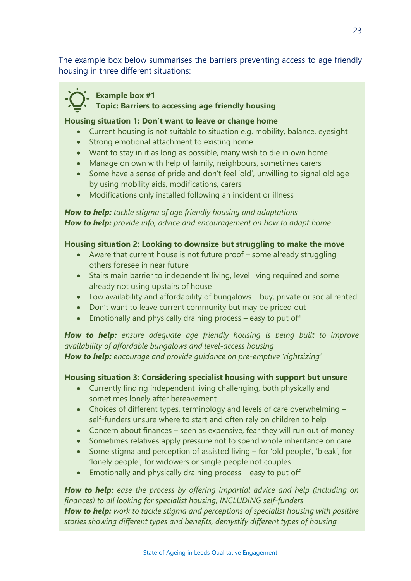The example box below summarises the barriers preventing access to age friendly housing in three different situations:

#### **Example box #1**

 **Topic: Barriers to accessing age friendly housing**

#### **Housing situation 1: Don't want to leave or change home**

- Current housing is not suitable to situation e.g. mobility, balance, eyesight
- Strong emotional attachment to existing home
- Want to stay in it as long as possible, many wish to die in own home
- Manage on own with help of family, neighbours, sometimes carers
- Some have a sense of pride and don't feel 'old', unwilling to signal old age by using mobility aids, modifications, carers
- Modifications only installed following an incident or illness

*How to help: tackle stigma of age friendly housing and adaptations How to help: provide info, advice and encouragement on how to adapt home* 

#### **Housing situation 2: Looking to downsize but struggling to make the move**

- Aware that current house is not future proof some already struggling others foresee in near future
- Stairs main barrier to independent living, level living required and some already not using upstairs of house
- Low availability and affordability of bungalows buy, private or social rented
- Don't want to leave current community but may be priced out
- Emotionally and physically draining process easy to put off

*How to help: ensure adequate age friendly housing is being built to improve availability of affordable bungalows and level-access housing How to help: encourage and provide guidance on pre-emptive 'rightsizing'*

#### **Housing situation 3: Considering specialist housing with support but unsure**

- Currently finding independent living challenging, both physically and sometimes lonely after bereavement
- Choices of different types, terminology and levels of care overwhelming self-funders unsure where to start and often rely on children to help
- Concern about finances seen as expensive, fear they will run out of money
- Sometimes relatives apply pressure not to spend whole inheritance on care
- Some stigma and perception of assisted living for 'old people', 'bleak', for 'lonely people', for widowers or single people not couples
- Emotionally and physically draining process easy to put off

*How to help: ease the process by offering impartial advice and help (including on finances) to all looking for specialist housing, INCLUDING self-funders How to help: work to tackle stigma and perceptions of specialist housing with positive stories showing different types and benefits, demystify different types of housing*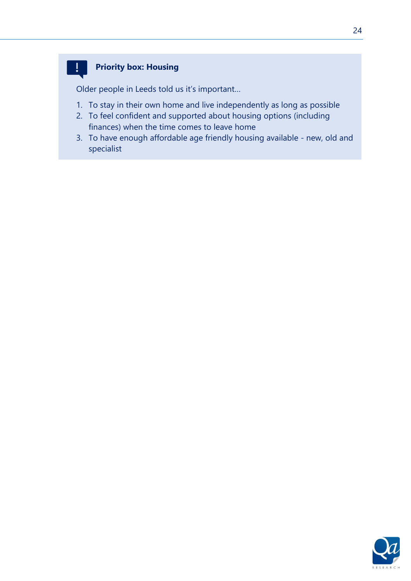#### **Priority box: Housing**

 $\mathbf{I}$ 

Older people in Leeds told us it's important…

- 1. To stay in their own home and live independently as long as possible
- 2. To feel confident and supported about housing options (including finances) when the time comes to leave home
- 3. To have enough affordable age friendly housing available new, old and specialist

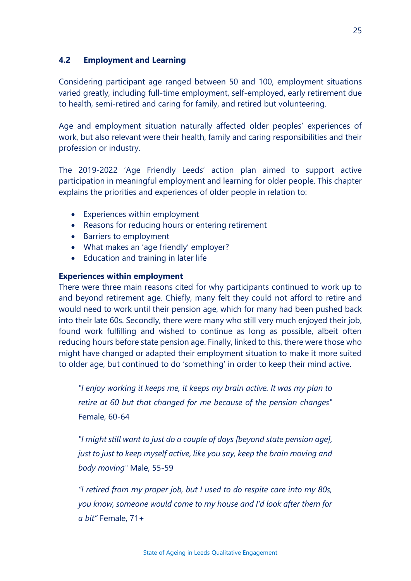#### **4.2 Employment and Learning**

Considering participant age ranged between 50 and 100, employment situations varied greatly, including full-time employment, self-employed, early retirement due to health, semi-retired and caring for family, and retired but volunteering.

Age and employment situation naturally affected older peoples' experiences of work, but also relevant were their health, family and caring responsibilities and their profession or industry.

The 2019-2022 'Age Friendly Leeds' action plan aimed to support active participation in meaningful employment and learning for older people. This chapter explains the priorities and experiences of older people in relation to:

- Experiences within employment
- Reasons for reducing hours or entering retirement
- Barriers to employment
- What makes an 'age friendly' employer?
- Education and training in later life

#### **Experiences within employment**

There were three main reasons cited for why participants continued to work up to and beyond retirement age. Chiefly, many felt they could not afford to retire and would need to work until their pension age, which for many had been pushed back into their late 60s. Secondly, there were many who still very much enjoyed their job, found work fulfilling and wished to continue as long as possible, albeit often reducing hours before state pension age. Finally, linked to this, there were those who might have changed or adapted their employment situation to make it more suited to older age, but continued to do 'something' in order to keep their mind active.

*"I enjoy working it keeps me, it keeps my brain active. It was my plan to retire at 60 but that changed for me because of the pension changes"*  Female, 60-64

*"I might still want to just do a couple of days [beyond state pension age], just to just to keep myself active, like you say, keep the brain moving and body moving"* Male, 55-59

*"I retired from my proper job, but I used to do respite care into my 80s, you know, someone would come to my house and I'd look after them for a bit"* Female, 71+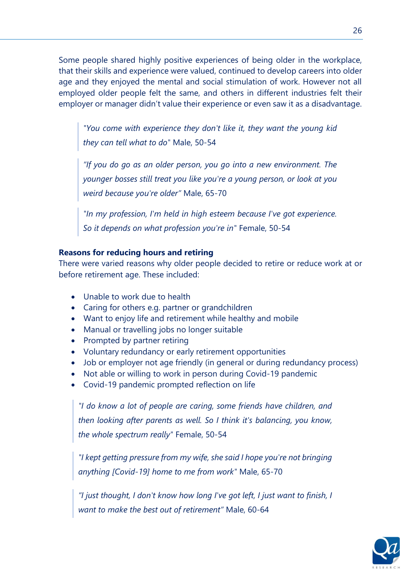Some people shared highly positive experiences of being older in the workplace, that their skills and experience were valued, continued to develop careers into older age and they enjoyed the mental and social stimulation of work. However not all employed older people felt the same, and others in different industries felt their employer or manager didn't value their experience or even saw it as a disadvantage.

*"You come with experience they don't like it, they want the young kid they can tell what to do"* Male, 50-54

*"If you do go as an older person, you go into a new environment. The younger bosses still treat you like you're a young person, or look at you weird because you're older"* Male, 65-70

*"In my profession, I'm held in high esteem because I've got experience. So it depends on what profession you're in"* Female, 50-54

#### **Reasons for reducing hours and retiring**

There were varied reasons why older people decided to retire or reduce work at or before retirement age. These included:

- Unable to work due to health
- Caring for others e.g. partner or grandchildren
- Want to enjoy life and retirement while healthy and mobile
- Manual or travelling jobs no longer suitable
- Prompted by partner retiring
- Voluntary redundancy or early retirement opportunities
- Job or employer not age friendly (in general or during redundancy process)
- Not able or willing to work in person during Covid-19 pandemic
- Covid-19 pandemic prompted reflection on life

*"I do know a lot of people are caring, some friends have children, and then looking after parents as well. So I think it's balancing, you know, the whole spectrum really"* Female, 50-54

*"I kept getting pressure from my wife, she said I hope you're not bringing anything [Covid-19] home to me from work"* Male, 65-70

*"I just thought, I don't know how long I've got left, I just want to finish, I want to make the best out of retirement"* Male, 60-64

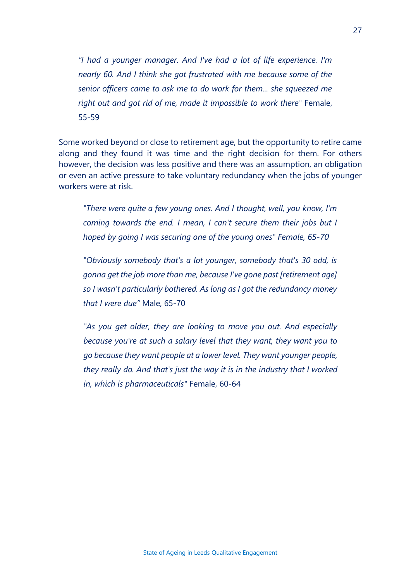*"I had a younger manager. And I've had a lot of life experience. I'm nearly 60. And I think she got frustrated with me because some of the senior officers came to ask me to do work for them... she squeezed me right out and got rid of me, made it impossible to work there"* Female, 55-59

Some worked beyond or close to retirement age, but the opportunity to retire came along and they found it was time and the right decision for them. For others however, the decision was less positive and there was an assumption, an obligation or even an active pressure to take voluntary redundancy when the jobs of younger workers were at risk.

*"There were quite a few young ones. And I thought, well, you know, I'm coming towards the end. I mean, I can't secure them their jobs but I hoped by going I was securing one of the young ones" Female, 65-70*

*"Obviously somebody that's a lot younger, somebody that's 30 odd, is gonna get the job more than me, because I've gone past [retirement age] so I wasn't particularly bothered. As long as I got the redundancy money that I were due"* Male, 65-70

*"As you get older, they are looking to move you out. And especially because you're at such a salary level that they want, they want you to go because they want people at a lower level. They want younger people, they really do. And that's just the way it is in the industry that I worked in, which is pharmaceuticals"* Female, 60-64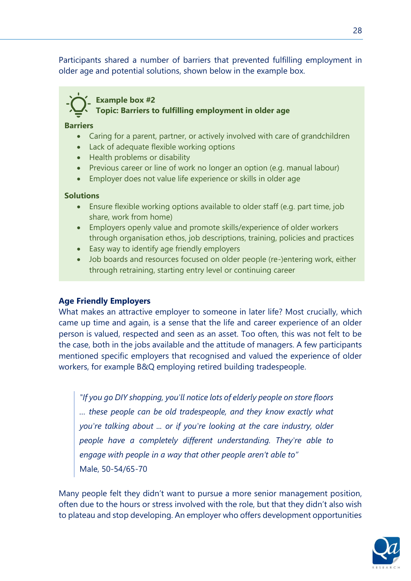Participants shared a number of barriers that prevented fulfilling employment in older age and potential solutions, shown below in the example box.

#### **Example box #2 Topic: Barriers to fulfilling employment in older age**

#### **Barriers**

- Caring for a parent, partner, or actively involved with care of grandchildren
- Lack of adequate flexible working options
- Health problems or disability
- Previous career or line of work no longer an option (e.g. manual labour)
- Employer does not value life experience or skills in older age

#### **Solutions**

- Ensure flexible working options available to older staff (e.g. part time, job share, work from home)
- Employers openly value and promote skills/experience of older workers through organisation ethos, job descriptions, training, policies and practices
- Easy way to identify age friendly employers
- Job boards and resources focused on older people (re-)entering work, either through retraining, starting entry level or continuing career

#### **Age Friendly Employers**

What makes an attractive employer to someone in later life? Most crucially, which came up time and again, is a sense that the life and career experience of an older person is valued, respected and seen as an asset. Too often, this was not felt to be the case, both in the jobs available and the attitude of managers. A few participants mentioned specific employers that recognised and valued the experience of older workers, for example B&Q employing retired building tradespeople.

*"If you go DIY shopping, you'll notice lots of elderly people on store floors … these people can be old tradespeople, and they know exactly what you're talking about ... or if you're looking at the care industry, older people have a completely different understanding. They're able to engage with people in a way that other people aren't able to"*  Male, 50-54/65-70

Many people felt they didn't want to pursue a more senior management position, often due to the hours or stress involved with the role, but that they didn't also wish to plateau and stop developing. An employer who offers development opportunities

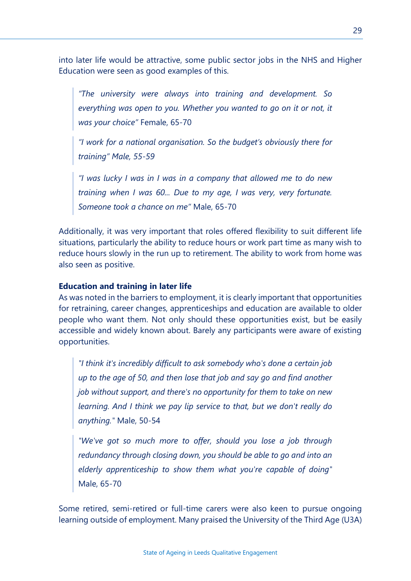into later life would be attractive, some public sector jobs in the NHS and Higher Education were seen as good examples of this.

*"The university were always into training and development. So*  everything was open to you. Whether you wanted to go on it or not, it *was your choice"* Female, 65-70

*"I work for a national organisation. So the budget's obviously there for training" Male, 55-59*

*"I was lucky I was in I was in a company that allowed me to do new training when I was 60... Due to my age, I was very, very fortunate. Someone took a chance on me"* Male, 65-70

Additionally, it was very important that roles offered flexibility to suit different life situations, particularly the ability to reduce hours or work part time as many wish to reduce hours slowly in the run up to retirement. The ability to work from home was also seen as positive.

#### **Education and training in later life**

As was noted in the barriers to employment, it is clearly important that opportunities for retraining, career changes, apprenticeships and education are available to older people who want them. Not only should these opportunities exist, but be easily accessible and widely known about. Barely any participants were aware of existing opportunities.

*"I think it's incredibly difficult to ask somebody who's done a certain job up to the age of 50, and then lose that job and say go and find another job without support, and there's no opportunity for them to take on new learning. And I think we pay lip service to that, but we don't really do anything."* Male, 50-54

*"We've got so much more to offer, should you lose a job through redundancy through closing down, you should be able to go and into an elderly apprenticeship to show them what you're capable of doing"*  Male, 65-70

Some retired, semi-retired or full-time carers were also keen to pursue ongoing learning outside of employment. Many praised the University of the Third Age (U3A)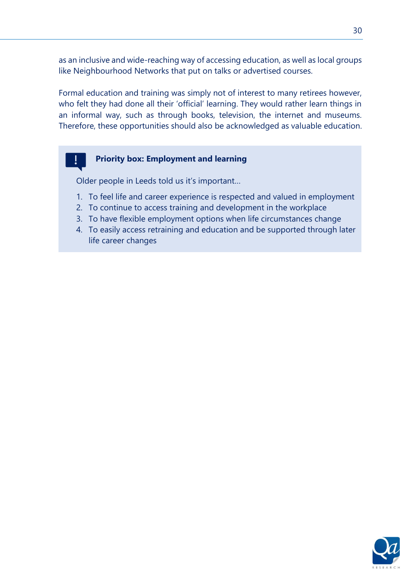as an inclusive and wide-reaching way of accessing education, as well as local groups like Neighbourhood Networks that put on talks or advertised courses.

Formal education and training was simply not of interest to many retirees however, who felt they had done all their 'official' learning. They would rather learn things in an informal way, such as through books, television, the internet and museums. Therefore, these opportunities should also be acknowledged as valuable education.

#### **Priority box: Employment and learning**

Older people in Leeds told us it's important…

- 1. To feel life and career experience is respected and valued in employment
- 2. To continue to access training and development in the workplace
- 3. To have flexible employment options when life circumstances change
- 4. To easily access retraining and education and be supported through later life career changes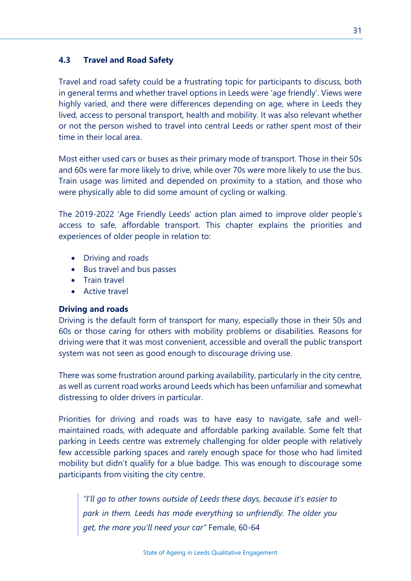#### **4.3 Travel and Road Safety**

Travel and road safety could be a frustrating topic for participants to discuss, both in general terms and whether travel options in Leeds were 'age friendly'. Views were highly varied, and there were differences depending on age, where in Leeds they lived, access to personal transport, health and mobility. It was also relevant whether or not the person wished to travel into central Leeds or rather spent most of their time in their local area.

Most either used cars or buses as their primary mode of transport. Those in their 50s and 60s were far more likely to drive, while over 70s were more likely to use the bus. Train usage was limited and depended on proximity to a station, and those who were physically able to did some amount of cycling or walking.

The 2019-2022 'Age Friendly Leeds' action plan aimed to improve older people's access to safe, affordable transport. This chapter explains the priorities and experiences of older people in relation to:

- Driving and roads
- Bus travel and bus passes
- Train travel
- Active travel

#### **Driving and roads**

Driving is the default form of transport for many, especially those in their 50s and 60s or those caring for others with mobility problems or disabilities. Reasons for driving were that it was most convenient, accessible and overall the public transport system was not seen as good enough to discourage driving use.

There was some frustration around parking availability, particularly in the city centre, as well as current road works around Leeds which has been unfamiliar and somewhat distressing to older drivers in particular.

Priorities for driving and roads was to have easy to navigate, safe and wellmaintained roads, with adequate and affordable parking available. Some felt that parking in Leeds centre was extremely challenging for older people with relatively few accessible parking spaces and rarely enough space for those who had limited mobility but didn't qualify for a blue badge. This was enough to discourage some participants from visiting the city centre.

*"I'll go to other towns outside of Leeds these days, because it's easier to park in them. Leeds has made everything so unfriendly. The older you get, the more you'll need your car"* Female, 60-64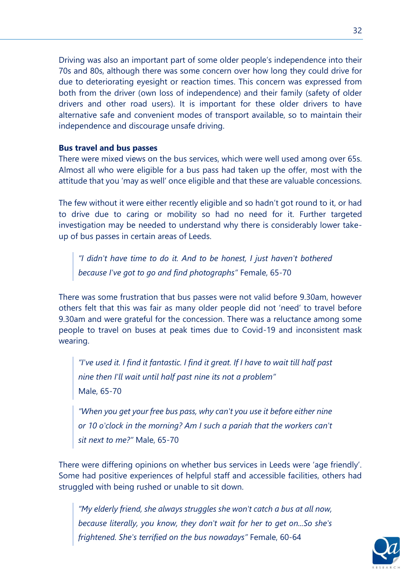Driving was also an important part of some older people's independence into their 70s and 80s, although there was some concern over how long they could drive for due to deteriorating eyesight or reaction times. This concern was expressed from both from the driver (own loss of independence) and their family (safety of older drivers and other road users). It is important for these older drivers to have alternative safe and convenient modes of transport available, so to maintain their independence and discourage unsafe driving.

#### **Bus travel and bus passes**

There were mixed views on the bus services, which were well used among over 65s. Almost all who were eligible for a bus pass had taken up the offer, most with the attitude that you 'may as well' once eligible and that these are valuable concessions.

The few without it were either recently eligible and so hadn't got round to it, or had to drive due to caring or mobility so had no need for it. Further targeted investigation may be needed to understand why there is considerably lower takeup of bus passes in certain areas of Leeds.

*"I didn't have time to do it. And to be honest, I just haven't bothered because I've got to go and find photographs"* Female, 65-70

There was some frustration that bus passes were not valid before 9.30am, however others felt that this was fair as many older people did not 'need' to travel before 9.30am and were grateful for the concession. There was a reluctance among some people to travel on buses at peak times due to Covid-19 and inconsistent mask wearing.

*"I've used it. I find it fantastic. I find it great. If I have to wait till half past nine then I'll wait until half past nine its not a problem"*  Male, 65-70

*"When you get your free bus pass, why can't you use it before either nine or 10 o'clock in the morning? Am I such a pariah that the workers can't sit next to me?"* Male, 65-70

There were differing opinions on whether bus services in Leeds were 'age friendly'. Some had positive experiences of helpful staff and accessible facilities, others had struggled with being rushed or unable to sit down.

*"My elderly friend, she always struggles she won't catch a bus at all now, because literally, you know, they don't wait for her to get on...So she's frightened. She's terrified on the bus nowadays"* Female, 60-64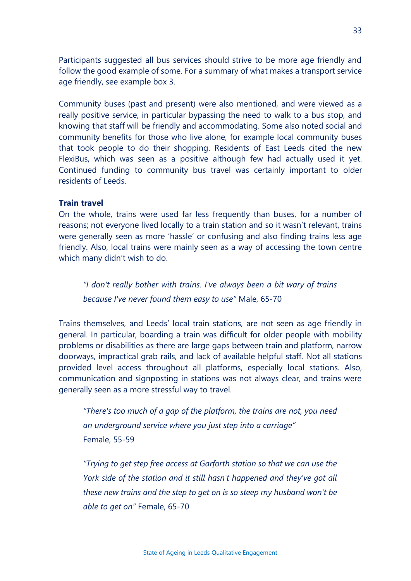Participants suggested all bus services should strive to be more age friendly and follow the good example of some. For a summary of what makes a transport service age friendly, see example box 3.

Community buses (past and present) were also mentioned, and were viewed as a really positive service, in particular bypassing the need to walk to a bus stop, and knowing that staff will be friendly and accommodating. Some also noted social and community benefits for those who live alone, for example local community buses that took people to do their shopping. Residents of East Leeds cited the new FlexiBus, which was seen as a positive although few had actually used it yet. Continued funding to community bus travel was certainly important to older residents of Leeds.

#### **Train travel**

On the whole, trains were used far less frequently than buses, for a number of reasons; not everyone lived locally to a train station and so it wasn't relevant, trains were generally seen as more 'hassle' or confusing and also finding trains less age friendly. Also, local trains were mainly seen as a way of accessing the town centre which many didn't wish to do.

*"I don't really bother with trains. I've always been a bit wary of trains because I've never found them easy to use"* Male, 65-70

Trains themselves, and Leeds' local train stations, are not seen as age friendly in general. In particular, boarding a train was difficult for older people with mobility problems or disabilities as there are large gaps between train and platform, narrow doorways, impractical grab rails, and lack of available helpful staff. Not all stations provided level access throughout all platforms, especially local stations. Also, communication and signposting in stations was not always clear, and trains were generally seen as a more stressful way to travel.

*"There's too much of a gap of the platform, the trains are not, you need an underground service where you just step into a carriage"*  Female, 55-59

*"Trying to get step free access at Garforth station so that we can use the York side of the station and it still hasn't happened and they've got all these new trains and the step to get on is so steep my husband won't be able to get on"* Female, 65-70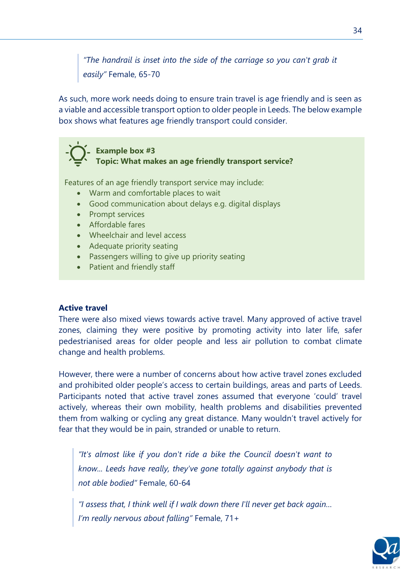*"The handrail is inset into the side of the carriage so you can't grab it easily"* Female, 65-70

As such, more work needs doing to ensure train travel is age friendly and is seen as a viable and accessible transport option to older people in Leeds. The below example box shows what features age friendly transport could consider.



Features of an age friendly transport service may include:

- Warm and comfortable places to wait
- Good communication about delays e.g. digital displays
- Prompt services
- Affordable fares
- Wheelchair and level access
- Adequate priority seating
- Passengers willing to give up priority seating
- Patient and friendly staff

#### **Active travel**

There were also mixed views towards active travel. Many approved of active travel zones, claiming they were positive by promoting activity into later life, safer pedestrianised areas for older people and less air pollution to combat climate change and health problems.

However, there were a number of concerns about how active travel zones excluded and prohibited older people's access to certain buildings, areas and parts of Leeds. Participants noted that active travel zones assumed that everyone 'could' travel actively, whereas their own mobility, health problems and disabilities prevented them from walking or cycling any great distance. Many wouldn't travel actively for fear that they would be in pain, stranded or unable to return.

*"It's almost like if you don't ride a bike the Council doesn't want to know... Leeds have really, they've gone totally against anybody that is not able bodied"* Female, 60-64

*"I assess that, I think well if I walk down there I'll never get back again… I'm really nervous about falling"* Female, 71+

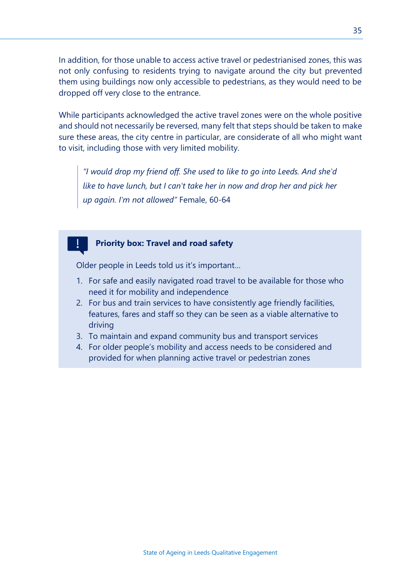In addition, for those unable to access active travel or pedestrianised zones, this was not only confusing to residents trying to navigate around the city but prevented them using buildings now only accessible to pedestrians, as they would need to be dropped off very close to the entrance.

While participants acknowledged the active travel zones were on the whole positive and should not necessarily be reversed, many felt that steps should be taken to make sure these areas, the city centre in particular, are considerate of all who might want to visit, including those with very limited mobility.

*"I would drop my friend off. She used to like to go into Leeds. And she'd like to have lunch, but I can't take her in now and drop her and pick her up again. I'm not allowed"* Female, 60-64

#### **Priority box: Travel and road safety**

Older people in Leeds told us it's important…

- 1. For safe and easily navigated road travel to be available for those who need it for mobility and independence
- 2. For bus and train services to have consistently age friendly facilities, features, fares and staff so they can be seen as a viable alternative to driving
- 3. To maintain and expand community bus and transport services
- 4. For older people's mobility and access needs to be considered and provided for when planning active travel or pedestrian zones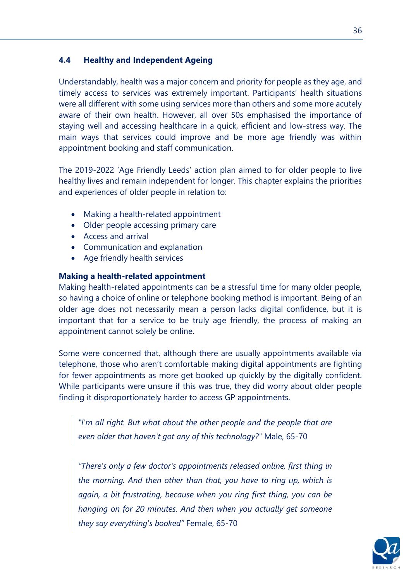#### **4.4 Healthy and Independent Ageing**

Understandably, health was a major concern and priority for people as they age, and timely access to services was extremely important. Participants' health situations were all different with some using services more than others and some more acutely aware of their own health. However, all over 50s emphasised the importance of staying well and accessing healthcare in a quick, efficient and low-stress way. The main ways that services could improve and be more age friendly was within appointment booking and staff communication.

The 2019-2022 'Age Friendly Leeds' action plan aimed to for older people to live healthy lives and remain independent for longer. This chapter explains the priorities and experiences of older people in relation to:

- Making a health-related appointment
- Older people accessing primary care
- Access and arrival
- Communication and explanation
- Age friendly health services

#### **Making a health-related appointment**

Making health-related appointments can be a stressful time for many older people, so having a choice of online or telephone booking method is important. Being of an older age does not necessarily mean a person lacks digital confidence, but it is important that for a service to be truly age friendly, the process of making an appointment cannot solely be online.

Some were concerned that, although there are usually appointments available via telephone, those who aren't comfortable making digital appointments are fighting for fewer appointments as more get booked up quickly by the digitally confident. While participants were unsure if this was true, they did worry about older people finding it disproportionately harder to access GP appointments.

*"I'm all right. But what about the other people and the people that are even older that haven't got any of this technology?"* Male, 65-70

*"There's only a few doctor's appointments released online, first thing in the morning. And then other than that, you have to ring up, which is again, a bit frustrating, because when you ring first thing, you can be hanging on for 20 minutes. And then when you actually get someone they say everything's booked"* Female, 65-70

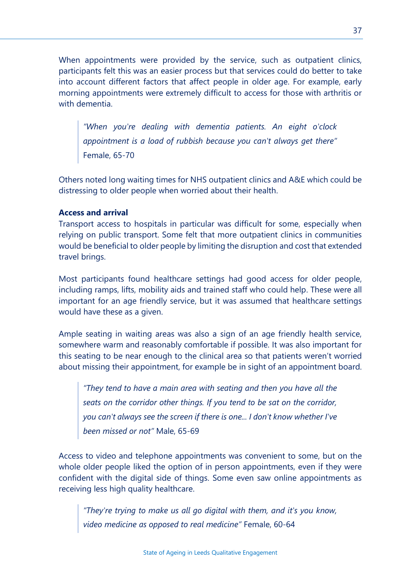When appointments were provided by the service, such as outpatient clinics, participants felt this was an easier process but that services could do better to take into account different factors that affect people in older age. For example, early morning appointments were extremely difficult to access for those with arthritis or with dementia.

*"When you're dealing with dementia patients. An eight o'clock appointment is a load of rubbish because you can't always get there"*  Female, 65-70

Others noted long waiting times for NHS outpatient clinics and A&E which could be distressing to older people when worried about their health.

#### **Access and arrival**

Transport access to hospitals in particular was difficult for some, especially when relying on public transport. Some felt that more outpatient clinics in communities would be beneficial to older people by limiting the disruption and cost that extended travel brings.

Most participants found healthcare settings had good access for older people, including ramps, lifts, mobility aids and trained staff who could help. These were all important for an age friendly service, but it was assumed that healthcare settings would have these as a given.

Ample seating in waiting areas was also a sign of an age friendly health service, somewhere warm and reasonably comfortable if possible. It was also important for this seating to be near enough to the clinical area so that patients weren't worried about missing their appointment, for example be in sight of an appointment board.

*"They tend to have a main area with seating and then you have all the seats on the corridor other things. If you tend to be sat on the corridor, you can't always see the screen if there is one... I don't know whether I've been missed or not"* Male, 65-69

Access to video and telephone appointments was convenient to some, but on the whole older people liked the option of in person appointments, even if they were confident with the digital side of things. Some even saw online appointments as receiving less high quality healthcare.

*"They're trying to make us all go digital with them, and it's you know, video medicine as opposed to real medicine"* Female, 60-64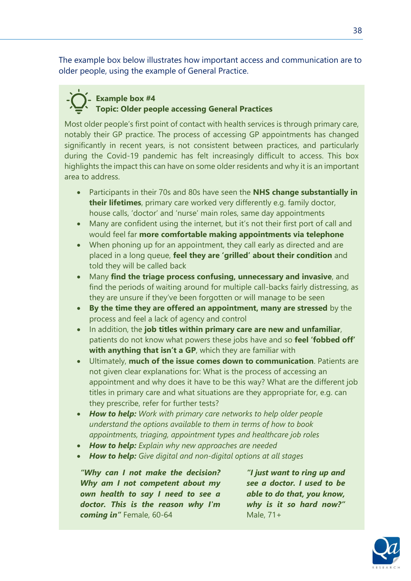The example box below illustrates how important access and communication are to older people, using the example of General Practice.

## **Example box #4 Topic: Older people accessing General Practices**

Most older people's first point of contact with health services is through primary care, notably their GP practice. The process of accessing GP appointments has changed significantly in recent years, is not consistent between practices, and particularly during the Covid-19 pandemic has felt increasingly difficult to access. This box highlights the impact this can have on some older residents and why it is an important area to address.

- Participants in their 70s and 80s have seen the **NHS change substantially in their lifetimes**, primary care worked very differently e.g. family doctor, house calls, 'doctor' and 'nurse' main roles, same day appointments
- Many are confident using the internet, but it's not their first port of call and would feel far **more comfortable making appointments via telephone**
- When phoning up for an appointment, they call early as directed and are placed in a long queue, **feel they are 'grilled' about their condition** and told they will be called back
- Many **find the triage process confusing, unnecessary and invasive**, and find the periods of waiting around for multiple call-backs fairly distressing, as they are unsure if they've been forgotten or will manage to be seen
- **By the time they are offered an appointment, many are stressed** by the process and feel a lack of agency and control
- In addition, the **job titles within primary care are new and unfamiliar**, patients do not know what powers these jobs have and so **feel 'fobbed off' with anything that isn't a GP**, which they are familiar with
- Ultimately, **much of the issue comes down to communication**. Patients are not given clear explanations for: What is the process of accessing an appointment and why does it have to be this way? What are the different job titles in primary care and what situations are they appropriate for, e.g. can they prescribe, refer for further tests?
- *How to help: Work with primary care networks to help older people understand the options available to them in terms of how to book appointments, triaging, appointment types and healthcare job roles*
- *How to help: Explain why new approaches are needed*
- *How to help: Give digital and non-digital options at all stages*

*"Why can I not make the decision? Why am I not competent about my own health to say I need to see a doctor. This is the reason why I'm coming in"* Female, 60-64

*"I just want to ring up and see a doctor. I used to be able to do that, you know, why is it so hard now?"* Male, 71+

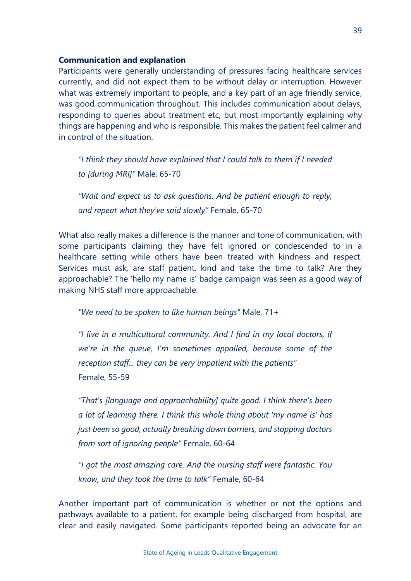#### **Communication and explanation**

Participants were generally understanding of pressures facing healthcare services currently, and did not expect them to be without delay or interruption. However what was extremely important to people, and a key part of an age friendly service, was good communication throughout. This includes communication about delays, responding to queries about treatment etc, but most importantly explaining why things are happening and who is responsible. This makes the patient feel calmer and in control of the situation.

*"I think they should have explained that I could talk to them if I needed to [during MRI]"* Male, 65-70

*"Wait and expect us to ask questions. And be patient enough to reply, and repeat what they've said slowly"* Female, 65-70

What also really makes a difference is the manner and tone of communication, with some participants claiming they have felt ignored or condescended to in a healthcare setting while others have been treated with kindness and respect. Services must ask, are staff patient, kind and take the time to talk? Are they approachable? The 'hello my name is' badge campaign was seen as a good way of making NHS staff more approachable.

*"We need to be spoken to like human beings"* Male, 71+

*"I live in a multicultural community. And I find in my local doctors, if we're in the queue, I'm sometimes appalled, because some of the reception staff... they can be very impatient with the patients"*  Female, 55-59

*"That's [language and approachability] quite good. I think there's been a lot of learning there. I think this whole thing about 'my name is' has just been so good, actually breaking down barriers, and stopping doctors from sort of ignoring people"* Female, 60-64

*"I got the most amazing care. And the nursing staff were fantastic. You know, and they took the time to talk"* Female, 60-64

Another important part of communication is whether or not the options and pathways available to a patient, for example being discharged from hospital, are clear and easily navigated. Some participants reported being an advocate for an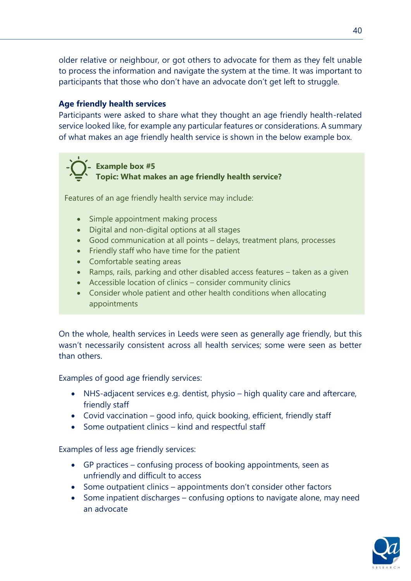older relative or neighbour, or got others to advocate for them as they felt unable to process the information and navigate the system at the time. It was important to participants that those who don't have an advocate don't get left to struggle.

#### **Age friendly health services**

Participants were asked to share what they thought an age friendly health-related service looked like, for example any particular features or considerations. A summary of what makes an age friendly health service is shown in the below example box.



Features of an age friendly health service may include:

- Simple appointment making process
- Digital and non-digital options at all stages
- Good communication at all points delays, treatment plans, processes
- Friendly staff who have time for the patient
- Comfortable seating areas
- Ramps, rails, parking and other disabled access features taken as a given
- Accessible location of clinics consider community clinics
- Consider whole patient and other health conditions when allocating appointments

On the whole, health services in Leeds were seen as generally age friendly, but this wasn't necessarily consistent across all health services; some were seen as better than others.

Examples of good age friendly services:

- NHS-adjacent services e.g. dentist, physio high quality care and aftercare, friendly staff
- Covid vaccination good info, quick booking, efficient, friendly staff
- Some outpatient clinics kind and respectful staff

Examples of less age friendly services:

- GP practices confusing process of booking appointments, seen as unfriendly and difficult to access
- Some outpatient clinics appointments don't consider other factors
- Some inpatient discharges confusing options to navigate alone, may need an advocate

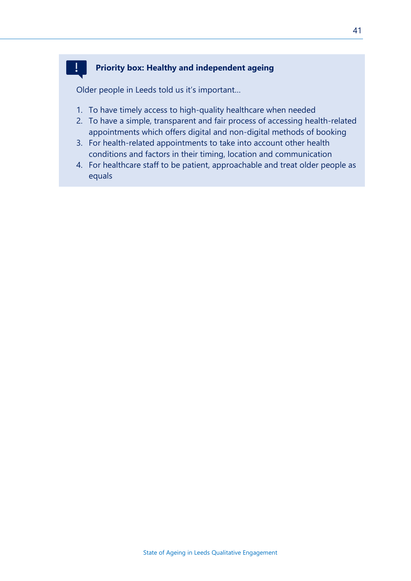#### **Priority box: Healthy and independent ageing**

Older people in Leeds told us it's important…

 $\mathbf{I}$ 

- 1. To have timely access to high-quality healthcare when needed
- 2. To have a simple, transparent and fair process of accessing health-related appointments which offers digital and non-digital methods of booking
- 3. For health-related appointments to take into account other health conditions and factors in their timing, location and communication
- 4. For healthcare staff to be patient, approachable and treat older people as equals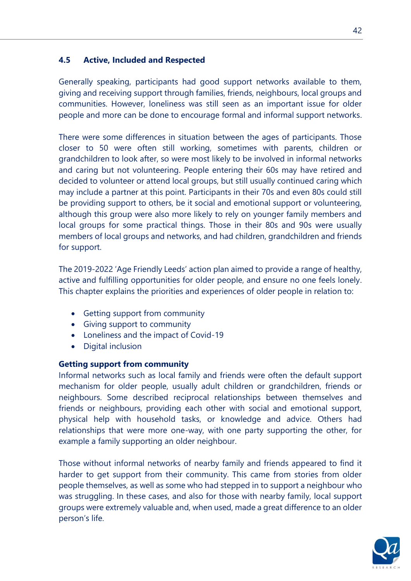#### **4.5 Active, Included and Respected**

Generally speaking, participants had good support networks available to them, giving and receiving support through families, friends, neighbours, local groups and communities. However, loneliness was still seen as an important issue for older people and more can be done to encourage formal and informal support networks.

There were some differences in situation between the ages of participants. Those closer to 50 were often still working, sometimes with parents, children or grandchildren to look after, so were most likely to be involved in informal networks and caring but not volunteering. People entering their 60s may have retired and decided to volunteer or attend local groups, but still usually continued caring which may include a partner at this point. Participants in their 70s and even 80s could still be providing support to others, be it social and emotional support or volunteering, although this group were also more likely to rely on younger family members and local groups for some practical things. Those in their 80s and 90s were usually members of local groups and networks, and had children, grandchildren and friends for support.

The 2019-2022 'Age Friendly Leeds' action plan aimed to provide a range of healthy, active and fulfilling opportunities for older people, and ensure no one feels lonely. This chapter explains the priorities and experiences of older people in relation to:

- Getting support from community
- Giving support to community
- Loneliness and the impact of Covid-19
- Digital inclusion

#### **Getting support from community**

Informal networks such as local family and friends were often the default support mechanism for older people, usually adult children or grandchildren, friends or neighbours. Some described reciprocal relationships between themselves and friends or neighbours, providing each other with social and emotional support, physical help with household tasks, or knowledge and advice. Others had relationships that were more one-way, with one party supporting the other, for example a family supporting an older neighbour.

Those without informal networks of nearby family and friends appeared to find it harder to get support from their community. This came from stories from older people themselves, as well as some who had stepped in to support a neighbour who was struggling. In these cases, and also for those with nearby family, local support groups were extremely valuable and, when used, made a great difference to an older person's life.

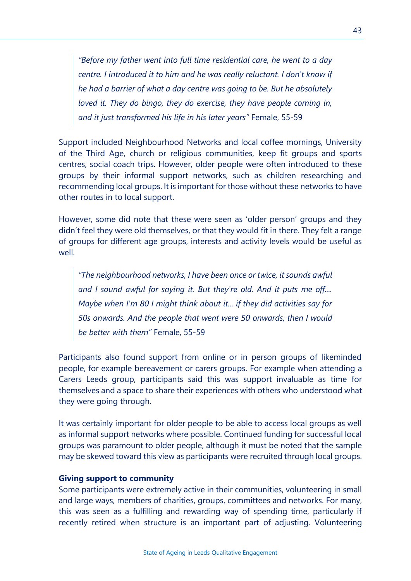*"Before my father went into full time residential care, he went to a day centre. I introduced it to him and he was really reluctant. I don't know if he had a barrier of what a day centre was going to be. But he absolutely loved it. They do bingo, they do exercise, they have people coming in, and it just transformed his life in his later years"* Female, 55-59

Support included Neighbourhood Networks and local coffee mornings, University of the Third Age, church or religious communities, keep fit groups and sports centres, social coach trips. However, older people were often introduced to these groups by their informal support networks, such as children researching and recommending local groups. It is important for those without these networks to have other routes in to local support.

However, some did note that these were seen as 'older person' groups and they didn't feel they were old themselves, or that they would fit in there. They felt a range of groups for different age groups, interests and activity levels would be useful as well.

*"The neighbourhood networks, I have been once or twice, it sounds awful and I sound awful for saying it. But they're old. And it puts me off.... Maybe when I'm 80 I might think about it... if they did activities say for 50s onwards. And the people that went were 50 onwards, then I would be better with them"* Female, 55-59

Participants also found support from online or in person groups of likeminded people, for example bereavement or carers groups. For example when attending a Carers Leeds group, participants said this was support invaluable as time for themselves and a space to share their experiences with others who understood what they were going through.

It was certainly important for older people to be able to access local groups as well as informal support networks where possible. Continued funding for successful local groups was paramount to older people, although it must be noted that the sample may be skewed toward this view as participants were recruited through local groups.

#### **Giving support to community**

Some participants were extremely active in their communities, volunteering in small and large ways, members of charities, groups, committees and networks. For many, this was seen as a fulfilling and rewarding way of spending time, particularly if recently retired when structure is an important part of adjusting. Volunteering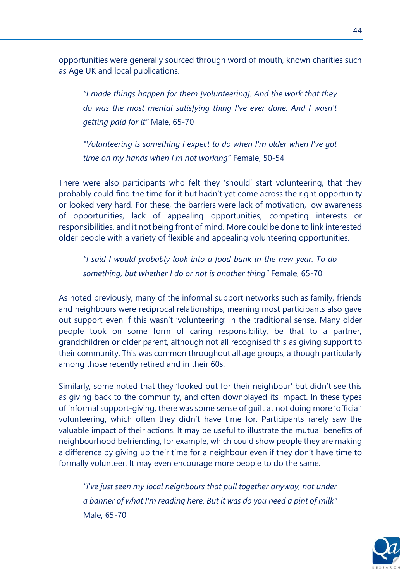opportunities were generally sourced through word of mouth, known charities such as Age UK and local publications.

*"I made things happen for them [volunteering]. And the work that they do was the most mental satisfying thing I've ever done. And I wasn't getting paid for it"* Male, 65-70

*"Volunteering is something I expect to do when I'm older when I've got time on my hands when I'm not working"* Female, 50-54

There were also participants who felt they 'should' start volunteering, that they probably could find the time for it but hadn't yet come across the right opportunity or looked very hard. For these, the barriers were lack of motivation, low awareness of opportunities, lack of appealing opportunities, competing interests or responsibilities, and it not being front of mind. More could be done to link interested older people with a variety of flexible and appealing volunteering opportunities.

*"I said I would probably look into a food bank in the new year. To do something, but whether I do or not is another thing"* Female, 65-70

As noted previously, many of the informal support networks such as family, friends and neighbours were reciprocal relationships, meaning most participants also gave out support even if this wasn't 'volunteering' in the traditional sense. Many older people took on some form of caring responsibility, be that to a partner, grandchildren or older parent, although not all recognised this as giving support to their community. This was common throughout all age groups, although particularly among those recently retired and in their 60s.

Similarly, some noted that they 'looked out for their neighbour' but didn't see this as giving back to the community, and often downplayed its impact. In these types of informal support-giving, there was some sense of guilt at not doing more 'official' volunteering, which often they didn't have time for. Participants rarely saw the valuable impact of their actions. It may be useful to illustrate the mutual benefits of neighbourhood befriending, for example, which could show people they are making a difference by giving up their time for a neighbour even if they don't have time to formally volunteer. It may even encourage more people to do the same.

*"I've just seen my local neighbours that pull together anyway, not under a banner of what I'm reading here. But it was do you need a pint of milk"*  Male, 65-70

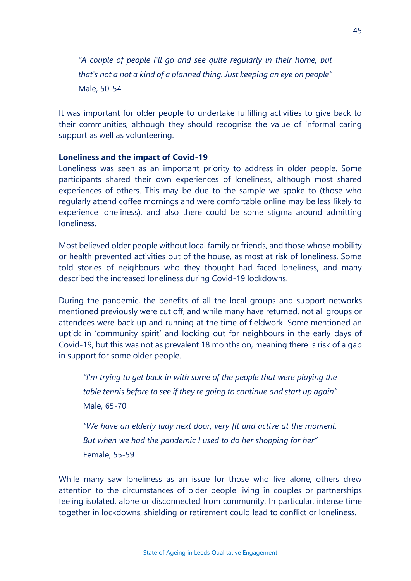*"A couple of people I'll go and see quite regularly in their home, but that's not a not a kind of a planned thing. Just keeping an eye on people"*  Male, 50-54

It was important for older people to undertake fulfilling activities to give back to their communities, although they should recognise the value of informal caring support as well as volunteering.

#### **Loneliness and the impact of Covid-19**

Loneliness was seen as an important priority to address in older people. Some participants shared their own experiences of loneliness, although most shared experiences of others. This may be due to the sample we spoke to (those who regularly attend coffee mornings and were comfortable online may be less likely to experience loneliness), and also there could be some stigma around admitting loneliness.

Most believed older people without local family or friends, and those whose mobility or health prevented activities out of the house, as most at risk of loneliness. Some told stories of neighbours who they thought had faced loneliness, and many described the increased loneliness during Covid-19 lockdowns.

During the pandemic, the benefits of all the local groups and support networks mentioned previously were cut off, and while many have returned, not all groups or attendees were back up and running at the time of fieldwork. Some mentioned an uptick in 'community spirit' and looking out for neighbours in the early days of Covid-19, but this was not as prevalent 18 months on, meaning there is risk of a gap in support for some older people.

*"I'm trying to get back in with some of the people that were playing the table tennis before to see if they're going to continue and start up again"*  Male, 65-70

*"We have an elderly lady next door, very fit and active at the moment. But when we had the pandemic I used to do her shopping for her"*  Female, 55-59

While many saw loneliness as an issue for those who live alone, others drew attention to the circumstances of older people living in couples or partnerships feeling isolated, alone or disconnected from community. In particular, intense time together in lockdowns, shielding or retirement could lead to conflict or loneliness.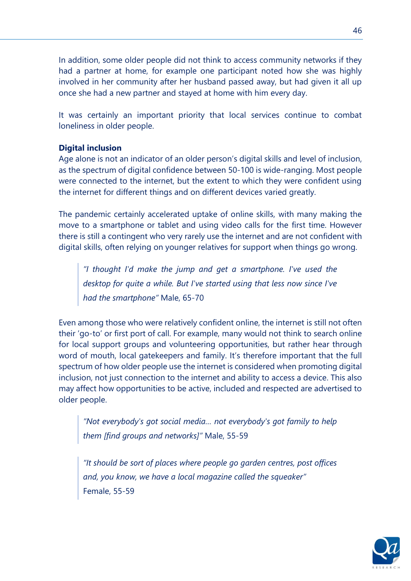In addition, some older people did not think to access community networks if they had a partner at home, for example one participant noted how she was highly involved in her community after her husband passed away, but had given it all up once she had a new partner and stayed at home with him every day.

It was certainly an important priority that local services continue to combat loneliness in older people.

#### **Digital inclusion**

Age alone is not an indicator of an older person's digital skills and level of inclusion, as the spectrum of digital confidence between 50-100 is wide-ranging. Most people were connected to the internet, but the extent to which they were confident using the internet for different things and on different devices varied greatly.

The pandemic certainly accelerated uptake of online skills, with many making the move to a smartphone or tablet and using video calls for the first time. However there is still a contingent who very rarely use the internet and are not confident with digital skills, often relying on younger relatives for support when things go wrong.

*"I thought I'd make the jump and get a smartphone. I've used the desktop for quite a while. But I've started using that less now since I've had the smartphone"* Male, 65-70

Even among those who were relatively confident online, the internet is still not often their 'go-to' or first port of call. For example, many would not think to search online for local support groups and volunteering opportunities, but rather hear through word of mouth, local gatekeepers and family. It's therefore important that the full spectrum of how older people use the internet is considered when promoting digital inclusion, not just connection to the internet and ability to access a device. This also may affect how opportunities to be active, included and respected are advertised to older people.

*"Not everybody's got social media… not everybody's got family to help them [find groups and networks]"* Male, 55-59

*"It should be sort of places where people go garden centres, post offices and, you know, we have a local magazine called the squeaker"*  Female, 55-59

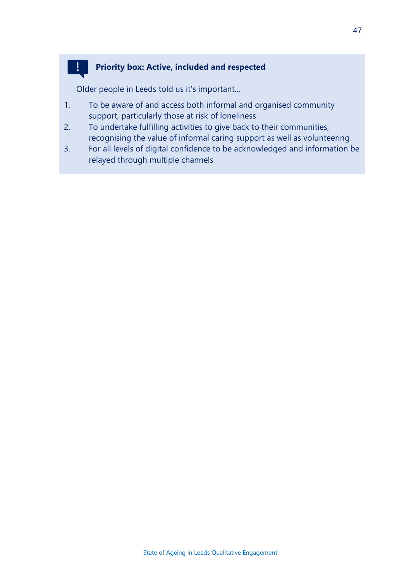#### **Priority box: Active, included and respected**

Older people in Leeds told us it's important…

 $\mathbf{I}$ 

- 1. To be aware of and access both informal and organised community support, particularly those at risk of loneliness
- 2. To undertake fulfilling activities to give back to their communities, recognising the value of informal caring support as well as volunteering
- 3. For all levels of digital confidence to be acknowledged and information be relayed through multiple channels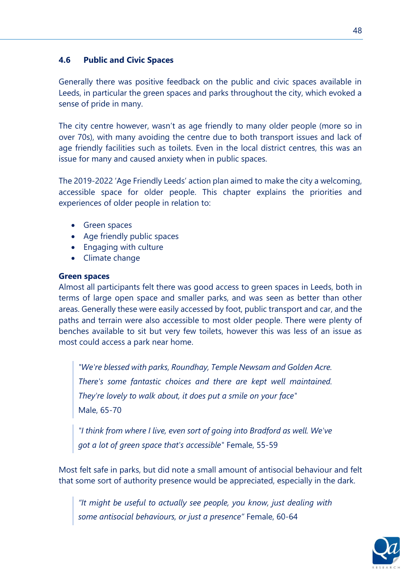#### **4.6 Public and Civic Spaces**

Generally there was positive feedback on the public and civic spaces available in Leeds, in particular the green spaces and parks throughout the city, which evoked a sense of pride in many.

48

The city centre however, wasn't as age friendly to many older people (more so in over 70s), with many avoiding the centre due to both transport issues and lack of age friendly facilities such as toilets. Even in the local district centres, this was an issue for many and caused anxiety when in public spaces.

The 2019-2022 'Age Friendly Leeds' action plan aimed to make the city a welcoming, accessible space for older people. This chapter explains the priorities and experiences of older people in relation to:

- Green spaces
- Age friendly public spaces
- Engaging with culture
- Climate change

#### **Green spaces**

Almost all participants felt there was good access to green spaces in Leeds, both in terms of large open space and smaller parks, and was seen as better than other areas. Generally these were easily accessed by foot, public transport and car, and the paths and terrain were also accessible to most older people. There were plenty of benches available to sit but very few toilets, however this was less of an issue as most could access a park near home.

*"We're blessed with parks, Roundhay, Temple Newsam and Golden Acre. There's some fantastic choices and there are kept well maintained. They're lovely to walk about, it does put a smile on your face"*  Male, 65-70

*"I think from where I live, even sort of going into Bradford as well. We've got a lot of green space that's accessible"* Female, 55-59

Most felt safe in parks, but did note a small amount of antisocial behaviour and felt that some sort of authority presence would be appreciated, especially in the dark.

*"It might be useful to actually see people, you know, just dealing with some antisocial behaviours, or just a presence"* Female, 60-64

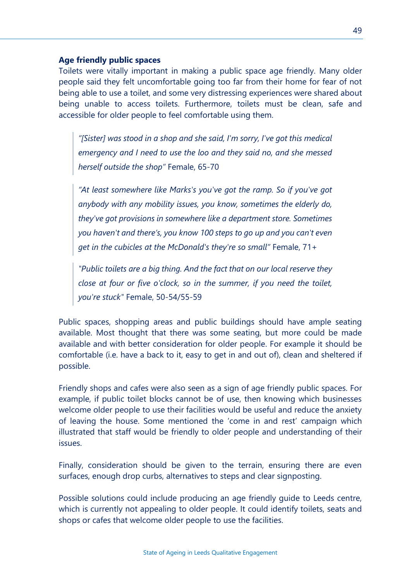#### **Age friendly public spaces**

Toilets were vitally important in making a public space age friendly. Many older people said they felt uncomfortable going too far from their home for fear of not being able to use a toilet, and some very distressing experiences were shared about being unable to access toilets. Furthermore, toilets must be clean, safe and accessible for older people to feel comfortable using them.

*"[Sister] was stood in a shop and she said, I'm sorry, I've got this medical emergency and I need to use the loo and they said no, and she messed herself outside the shop"* Female, 65-70

*"At least somewhere like Marks's you've got the ramp. So if you've got anybody with any mobility issues, you know, sometimes the elderly do, they've got provisions in somewhere like a department store. Sometimes you haven't and there's, you know 100 steps to go up and you can't even get in the cubicles at the McDonald's they're so small"* Female, 71+

*"Public toilets are a big thing. And the fact that on our local reserve they close at four or five o'clock, so in the summer, if you need the toilet, you're stuck"* Female, 50-54/55-59

Public spaces, shopping areas and public buildings should have ample seating available. Most thought that there was some seating, but more could be made available and with better consideration for older people. For example it should be comfortable (i.e. have a back to it, easy to get in and out of), clean and sheltered if possible.

Friendly shops and cafes were also seen as a sign of age friendly public spaces. For example, if public toilet blocks cannot be of use, then knowing which businesses welcome older people to use their facilities would be useful and reduce the anxiety of leaving the house. Some mentioned the 'come in and rest' campaign which illustrated that staff would be friendly to older people and understanding of their issues.

Finally, consideration should be given to the terrain, ensuring there are even surfaces, enough drop curbs, alternatives to steps and clear signposting.

Possible solutions could include producing an age friendly guide to Leeds centre, which is currently not appealing to older people. It could identify toilets, seats and shops or cafes that welcome older people to use the facilities.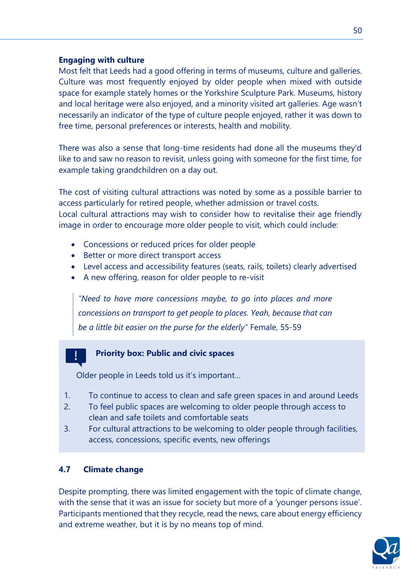#### **Engaging with culture**

Most felt that Leeds had a good offering in terms of museums, culture and galleries. Culture was most frequently enjoyed by older people when mixed with outside space for example stately homes or the Yorkshire Sculpture Park. Museums, history and local heritage were also enjoyed, and a minority visited art galleries. Age wasn't necessarily an indicator of the type of culture people enjoyed, rather it was down to free time, personal preferences or interests, health and mobility.

There was also a sense that long-time residents had done all the museums they'd like to and saw no reason to revisit, unless going with someone for the first time, for example taking grandchildren on a day out.

The cost of visiting cultural attractions was noted by some as a possible barrier to access particularly for retired people, whether admission or travel costs. Local cultural attractions may wish to consider how to revitalise their age friendly image in order to encourage more older people to visit, which could include:

- Concessions or reduced prices for older people
- Better or more direct transport access
- Level access and accessibility features (seats, rails, toilets) clearly advertised
- A new offering, reason for older people to re-visit

*"Need to have more concessions maybe, to go into places and more concessions on transport to get people to places. Yeah, because that can be a little bit easier on the purse for the elderly"* Female, 55-59

#### **Priority box: Public and civic spaces**

Older people in Leeds told us it's important…

- 1. To continue to access to clean and safe green spaces in and around Leeds
- 2. To feel public spaces are welcoming to older people through access to clean and safe toilets and comfortable seats
- 3. For cultural attractions to be welcoming to older people through facilities, access, concessions, specific events, new offerings

#### **4.7 Climate change**

Despite prompting, there was limited engagement with the topic of climate change, with the sense that it was an issue for society but more of a 'younger persons issue'. Participants mentioned that they recycle, read the news, care about energy efficiency and extreme weather, but it is by no means top of mind.

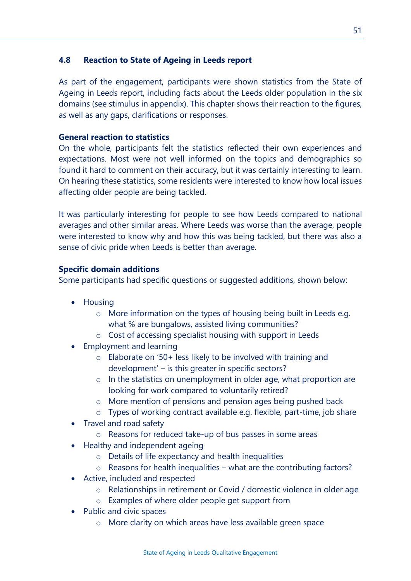#### **4.8 Reaction to State of Ageing in Leeds report**

As part of the engagement, participants were shown statistics from the State of Ageing in Leeds report, including facts about the Leeds older population in the six domains (see stimulus in appendix). This chapter shows their reaction to the figures, as well as any gaps, clarifications or responses.

#### **General reaction to statistics**

On the whole, participants felt the statistics reflected their own experiences and expectations. Most were not well informed on the topics and demographics so found it hard to comment on their accuracy, but it was certainly interesting to learn. On hearing these statistics, some residents were interested to know how local issues affecting older people are being tackled.

It was particularly interesting for people to see how Leeds compared to national averages and other similar areas. Where Leeds was worse than the average, people were interested to know why and how this was being tackled, but there was also a sense of civic pride when Leeds is better than average.

#### **Specific domain additions**

Some participants had specific questions or suggested additions, shown below:

- Housing
	- o More information on the types of housing being built in Leeds e.g. what % are bungalows, assisted living communities?
	- o Cost of accessing specialist housing with support in Leeds
- Employment and learning
	- o Elaborate on '50+ less likely to be involved with training and development' – is this greater in specific sectors?
	- o In the statistics on unemployment in older age, what proportion are looking for work compared to voluntarily retired?
	- o More mention of pensions and pension ages being pushed back
	- o Types of working contract available e.g. flexible, part-time, job share
- Travel and road safety
	- o Reasons for reduced take-up of bus passes in some areas
- Healthy and independent ageing
	- o Details of life expectancy and health inequalities
	- $\circ$  Reasons for health inequalities what are the contributing factors?
- Active, included and respected
	- o Relationships in retirement or Covid / domestic violence in older age
	- o Examples of where older people get support from
- Public and civic spaces
	- o More clarity on which areas have less available green space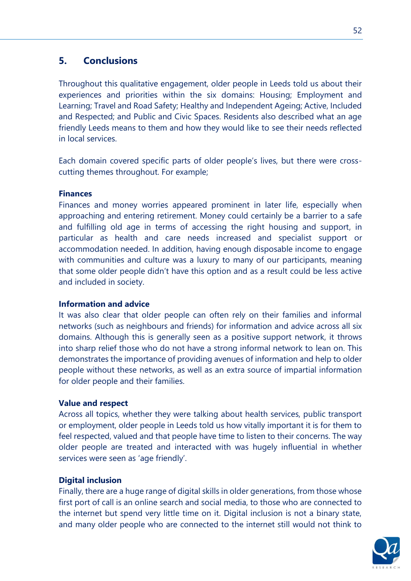#### **5. Conclusions**

Throughout this qualitative engagement, older people in Leeds told us about their experiences and priorities within the six domains: Housing; Employment and Learning; Travel and Road Safety; Healthy and Independent Ageing; Active, Included and Respected; and Public and Civic Spaces. Residents also described what an age friendly Leeds means to them and how they would like to see their needs reflected in local services.

Each domain covered specific parts of older people's lives, but there were crosscutting themes throughout. For example;

#### **Finances**

Finances and money worries appeared prominent in later life, especially when approaching and entering retirement. Money could certainly be a barrier to a safe and fulfilling old age in terms of accessing the right housing and support, in particular as health and care needs increased and specialist support or accommodation needed. In addition, having enough disposable income to engage with communities and culture was a luxury to many of our participants, meaning that some older people didn't have this option and as a result could be less active and included in society.

#### **Information and advice**

It was also clear that older people can often rely on their families and informal networks (such as neighbours and friends) for information and advice across all six domains. Although this is generally seen as a positive support network, it throws into sharp relief those who do not have a strong informal network to lean on. This demonstrates the importance of providing avenues of information and help to older people without these networks, as well as an extra source of impartial information for older people and their families.

#### **Value and respect**

Across all topics, whether they were talking about health services, public transport or employment, older people in Leeds told us how vitally important it is for them to feel respected, valued and that people have time to listen to their concerns. The way older people are treated and interacted with was hugely influential in whether services were seen as 'age friendly'.

#### **Digital inclusion**

Finally, there are a huge range of digital skills in older generations, from those whose first port of call is an online search and social media, to those who are connected to the internet but spend very little time on it. Digital inclusion is not a binary state, and many older people who are connected to the internet still would not think to

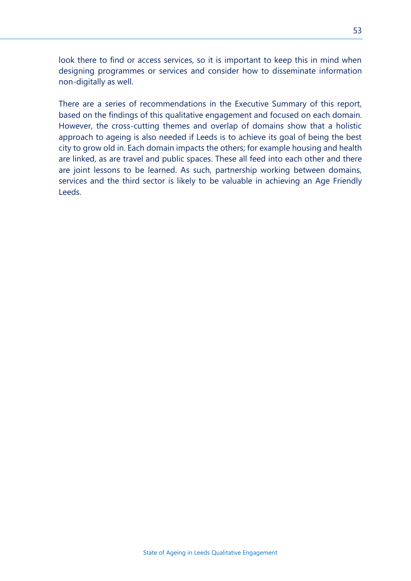look there to find or access services, so it is important to keep this in mind when designing programmes or services and consider how to disseminate information non-digitally as well.

There are a series of recommendations in the Executive Summary of this report, based on the findings of this qualitative engagement and focused on each domain. However, the cross-cutting themes and overlap of domains show that a holistic approach to ageing is also needed if Leeds is to achieve its goal of being the best city to grow old in. Each domain impacts the others; for example housing and health are linked, as are travel and public spaces. These all feed into each other and there are joint lessons to be learned. As such, partnership working between domains, services and the third sector is likely to be valuable in achieving an Age Friendly Leeds.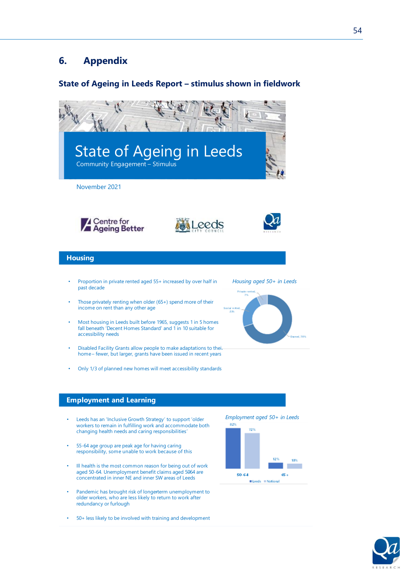#### **6. Appendix**

#### **State of Ageing in Leeds Report – stimulus shown in fieldwork**



- Most housing in Leeds built before 1965, suggests 1 in 5 homes fall beneath 'Decent Homes Standard' and  $1$  in 10 suitable for accessibility needs
- Disabled Facility Grants allow people to make adaptations to thei. home - fewer, but larger, grants have been issued in recent years
- Only 1/3 of planned new homes will meet accessibility standards





#### **Employment and Learning**

- Leeds has an 'Inclusive Growth Strategy' to support 'older workers to remain in fulfilling work and accommodate both changing health needs and caring responsibilities
- 55-64 age group are peak age for having caring responsibility, some unable to work because of this
- $\cdot$  Ill health is the most common reason for being out of work aged 50-64. Unemployment benefit claims aged 5064 are concentrated in inner NE and inner SW areas of Leeds
- Pandemic has brought risk of longerterm unemployment to older workers, who are less likely to return to work after redundancy or furlough
- 50+ less likely to be involved with training and development

*Employment aged 50+ in Leeds* 



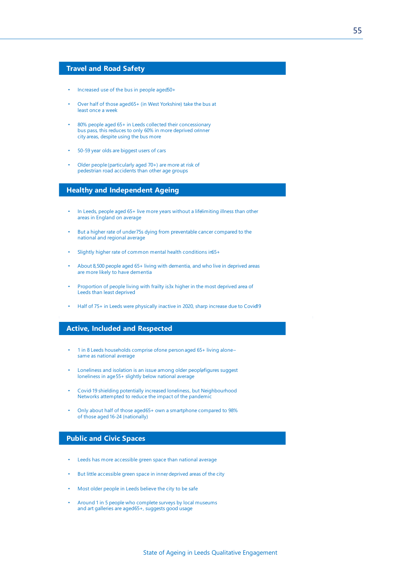#### **Travel and Road Safety**

- Increased use of the bus in people aged 50+
- Over half of those aged 65+ (in West Yorkshire) take the bus at least once a week
- 80% people aged 65+ in Leeds collected their concessionary bus pass, this reduces to only 60% in more deprived ornner city areas, despite using the bus more
- 50-59 year olds are biggest users of cars
- Older people (particularly aged 70+) are more at risk of pedestrian road accidents than other age groups

#### **Healthy and Independent Ageing**

- In Leeds, people aged 65+ live more years without a life limiting illness than other areas in England on average
- But a higher rate of under 75s dying from preventable cancer compared to the national and regional average
- Slightly higher rate of common mental health conditions in 65+
- About 8,500 people aged 65+ living with dementia, and who live in deprived areas are more likely to have dementia
- Proportion of people living with frailty is 3x higher in the most deprived area of Leeds than least deprived
- Half of 75+ in Leeds were physically inactive in 2020, sharp increase due to Covid19

#### **Active, Included and Respected**

- 1 in 8 Leeds households comprise ofone person aged 65+ living alonesame as national average
- Loneliness and isolation is an issue among older peoplefigures suggest loneliness in age 55+ slightly below national average
- Covid 19 shielding potentially increased loneliness, but Neighbourhood Networks attempted to reduce the impact of the pandemic
- Only about half of those aged 65+ own a smartphone compared to 98% of those aged 16-24 (nationally)

#### **Public and Civic Spaces**

- Leeds has more accessible green space than national average
- But little accessible green space in inner deprived areas of the city
- Most older people in Leeds believe the city to be safe
- Around 1 in 5 people who complete surveys by local museums and art galleries are aged 65+, suggests good usage